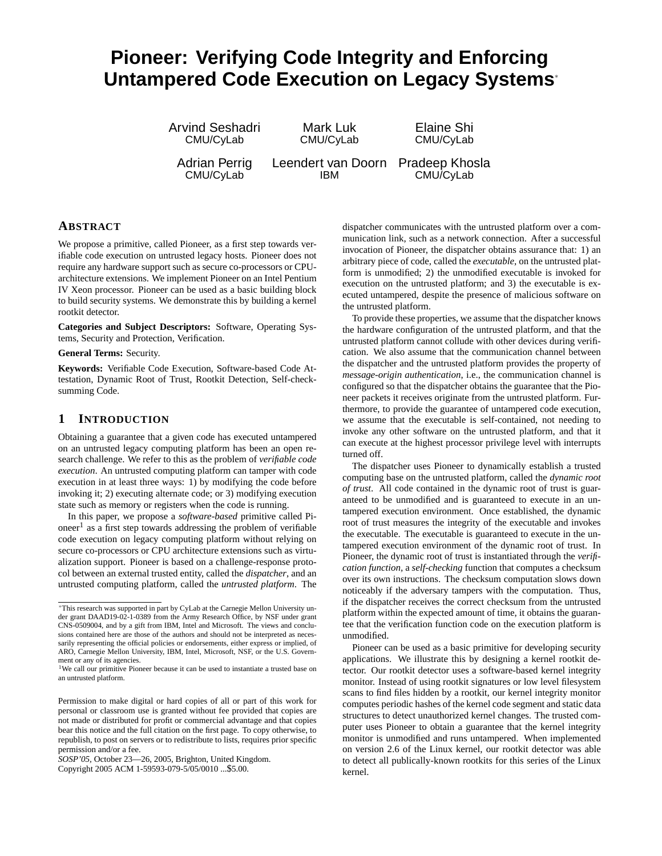# **Pioneer: Verifying Code Integrity and Enforcing Untampered Code Execution on Legacy Systems**<sup>∗</sup>

Arvind Seshadri Mark Luk Elaine Shi

CMU/CyLab

CMU/CyLab CMU/CyLab CMU/CyLab

Adrian Perrig Leendert van Doorn Pradeep Khosla<br>CMU/CyLab IBM CMU/CyLab

# **ABSTRACT**

We propose a primitive, called Pioneer, as a first step towards verifiable code execution on untrusted legacy hosts. Pioneer does not require any hardware support such as secure co-processors or CPUarchitecture extensions. We implement Pioneer on an Intel Pentium IV Xeon processor. Pioneer can be used as a basic building block to build security systems. We demonstrate this by building a kernel rootkit detector.

**Categories and Subject Descriptors:** Software, Operating Systems, Security and Protection, Verification.

### **General Terms:** Security.

**Keywords:** Verifiable Code Execution, Software-based Code Attestation, Dynamic Root of Trust, Rootkit Detection, Self-checksumming Code.

# **1 INTRODUCTION**

Obtaining a guarantee that a given code has executed untampered on an untrusted legacy computing platform has been an open research challenge. We refer to this as the problem of *verifiable code execution*. An untrusted computing platform can tamper with code execution in at least three ways: 1) by modifying the code before invoking it; 2) executing alternate code; or 3) modifying execution state such as memory or registers when the code is running.

In this paper, we propose a *software-based* primitive called Pioneer<sup>1</sup> as a first step towards addressing the problem of verifiable code execution on legacy computing platform without relying on secure co-processors or CPU architecture extensions such as virtualization support. Pioneer is based on a challenge-response protocol between an external trusted entity, called the *dispatcher*, and an untrusted computing platform, called the *untrusted platform*. The dispatcher communicates with the untrusted platform over a communication link, such as a network connection. After a successful invocation of Pioneer, the dispatcher obtains assurance that: 1) an arbitrary piece of code, called the *executable*, on the untrusted platform is unmodified; 2) the unmodified executable is invoked for execution on the untrusted platform; and 3) the executable is executed untampered, despite the presence of malicious software on the untrusted platform.

To provide these properties, we assume that the dispatcher knows the hardware configuration of the untrusted platform, and that the untrusted platform cannot collude with other devices during verification. We also assume that the communication channel between the dispatcher and the untrusted platform provides the property of *message-origin authentication*, i.e., the communication channel is configured so that the dispatcher obtains the guarantee that the Pioneer packets it receives originate from the untrusted platform. Furthermore, to provide the guarantee of untampered code execution, we assume that the executable is self-contained, not needing to invoke any other software on the untrusted platform, and that it can execute at the highest processor privilege level with interrupts turned off.

The dispatcher uses Pioneer to dynamically establish a trusted computing base on the untrusted platform, called the *dynamic root of trust*. All code contained in the dynamic root of trust is guaranteed to be unmodified and is guaranteed to execute in an untampered execution environment. Once established, the dynamic root of trust measures the integrity of the executable and invokes the executable. The executable is guaranteed to execute in the untampered execution environment of the dynamic root of trust. In Pioneer, the dynamic root of trust is instantiated through the *verification function,* a *self-checking* function that computes a checksum over its own instructions. The checksum computation slows down noticeably if the adversary tampers with the computation. Thus, if the dispatcher receives the correct checksum from the untrusted platform within the expected amount of time, it obtains the guarantee that the verification function code on the execution platform is unmodified.

Pioneer can be used as a basic primitive for developing security applications. We illustrate this by designing a kernel rootkit detector. Our rootkit detector uses a software-based kernel integrity monitor. Instead of using rootkit signatures or low level filesystem scans to find files hidden by a rootkit, our kernel integrity monitor computes periodic hashes of the kernel code segment and static data structures to detect unauthorized kernel changes. The trusted computer uses Pioneer to obtain a guarantee that the kernel integrity monitor is unmodified and runs untampered. When implemented on version 2.6 of the Linux kernel, our rootkit detector was able to detect all publically-known rootkits for this series of the Linux kernel.

<sup>∗</sup>This research was supported in part by CyLab at the Carnegie Mellon University under grant DAAD19-02-1-0389 from the Army Research Office, by NSF under grant CNS-0509004, and by a gift from IBM, Intel and Microsoft. The views and conclusions contained here are those of the authors and should not be interpreted as necessarily representing the official policies or endorsements, either express or implied, of ARO, Carnegie Mellon University, IBM, Intel, Microsoft, NSF, or the U.S. Government or any of its agencies.

<sup>&</sup>lt;sup>1</sup>We call our primitive Pioneer because it can be used to instantiate a trusted base on an untrusted platform.

Permission to make digital or hard copies of all or part of this work for personal or classroom use is granted without fee provided that copies are not made or distributed for profit or commercial advantage and that copies bear this notice and the full citation on the first page. To copy otherwise, to republish, to post on servers or to redistribute to lists, requires prior specific permission and/or a fee.

*SOSP'05,* October 23—26, 2005, Brighton, United Kingdom.

Copyright 2005 ACM 1-59593-079-5/05/0010 ...\$5.00.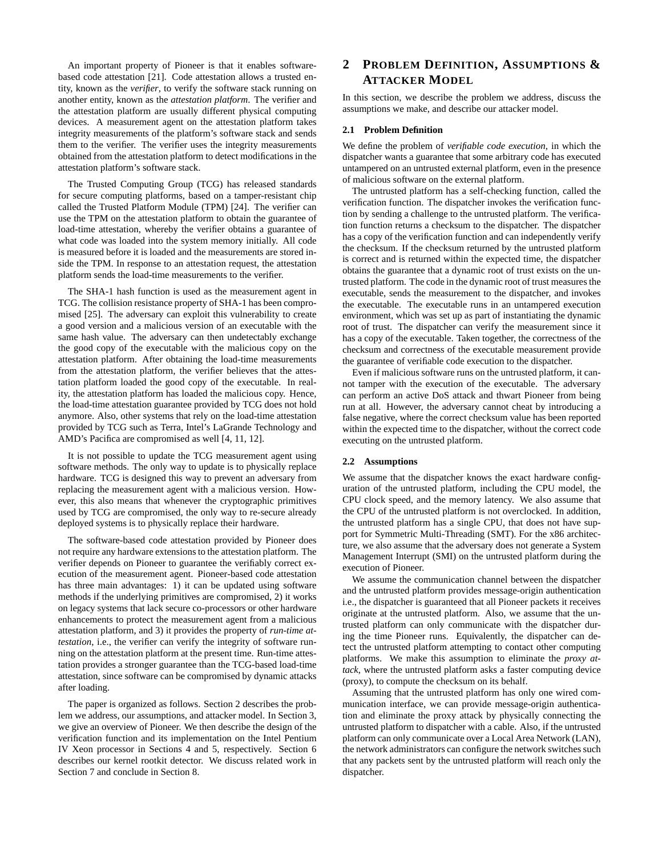An important property of Pioneer is that it enables softwarebased code attestation [21]. Code attestation allows a trusted entity, known as the *verifier*, to verify the software stack running on another entity, known as the *attestation platform*. The verifier and the attestation platform are usually different physical computing devices. A measurement agent on the attestation platform takes integrity measurements of the platform's software stack and sends them to the verifier. The verifier uses the integrity measurements obtained from the attestation platform to detect modifications in the attestation platform's software stack.

The Trusted Computing Group (TCG) has released standards for secure computing platforms, based on a tamper-resistant chip called the Trusted Platform Module (TPM) [24]. The verifier can use the TPM on the attestation platform to obtain the guarantee of load-time attestation, whereby the verifier obtains a guarantee of what code was loaded into the system memory initially. All code is measured before it is loaded and the measurements are stored inside the TPM. In response to an attestation request, the attestation platform sends the load-time measurements to the verifier.

The SHA-1 hash function is used as the measurement agent in TCG. The collision resistance property of SHA-1 has been compromised [25]. The adversary can exploit this vulnerability to create a good version and a malicious version of an executable with the same hash value. The adversary can then undetectably exchange the good copy of the executable with the malicious copy on the attestation platform. After obtaining the load-time measurements from the attestation platform, the verifier believes that the attestation platform loaded the good copy of the executable. In reality, the attestation platform has loaded the malicious copy. Hence, the load-time attestation guarantee provided by TCG does not hold anymore. Also, other systems that rely on the load-time attestation provided by TCG such as Terra, Intel's LaGrande Technology and AMD's Pacifica are compromised as well [4, 11, 12].

It is not possible to update the TCG measurement agent using software methods. The only way to update is to physically replace hardware. TCG is designed this way to prevent an adversary from replacing the measurement agent with a malicious version. However, this also means that whenever the cryptographic primitives used by TCG are compromised, the only way to re-secure already deployed systems is to physically replace their hardware.

The software-based code attestation provided by Pioneer does not require any hardware extensions to the attestation platform. The verifier depends on Pioneer to guarantee the verifiably correct execution of the measurement agent. Pioneer-based code attestation has three main advantages: 1) it can be updated using software methods if the underlying primitives are compromised, 2) it works on legacy systems that lack secure co-processors or other hardware enhancements to protect the measurement agent from a malicious attestation platform, and 3) it provides the property of *run-time attestation*, i.e., the verifier can verify the integrity of software running on the attestation platform at the present time. Run-time attestation provides a stronger guarantee than the TCG-based load-time attestation, since software can be compromised by dynamic attacks after loading.

The paper is organized as follows. Section 2 describes the problem we address, our assumptions, and attacker model. In Section 3, we give an overview of Pioneer. We then describe the design of the verification function and its implementation on the Intel Pentium IV Xeon processor in Sections 4 and 5, respectively. Section 6 describes our kernel rootkit detector. We discuss related work in Section 7 and conclude in Section 8.

# **2 PROBLEM DEFINITION, ASSUMPTIONS & ATTACKER MODEL**

In this section, we describe the problem we address, discuss the assumptions we make, and describe our attacker model.

### **2.1 Problem Definition**

We define the problem of *verifiable code execution*, in which the dispatcher wants a guarantee that some arbitrary code has executed untampered on an untrusted external platform, even in the presence of malicious software on the external platform.

The untrusted platform has a self-checking function, called the verification function. The dispatcher invokes the verification function by sending a challenge to the untrusted platform. The verification function returns a checksum to the dispatcher. The dispatcher has a copy of the verification function and can independently verify the checksum. If the checksum returned by the untrusted platform is correct and is returned within the expected time, the dispatcher obtains the guarantee that a dynamic root of trust exists on the untrusted platform. The code in the dynamic root of trust measures the executable, sends the measurement to the dispatcher, and invokes the executable. The executable runs in an untampered execution environment, which was set up as part of instantiating the dynamic root of trust. The dispatcher can verify the measurement since it has a copy of the executable. Taken together, the correctness of the checksum and correctness of the executable measurement provide the guarantee of verifiable code execution to the dispatcher.

Even if malicious software runs on the untrusted platform, it cannot tamper with the execution of the executable. The adversary can perform an active DoS attack and thwart Pioneer from being run at all. However, the adversary cannot cheat by introducing a false negative, where the correct checksum value has been reported within the expected time to the dispatcher, without the correct code executing on the untrusted platform.

### **2.2 Assumptions**

We assume that the dispatcher knows the exact hardware configuration of the untrusted platform, including the CPU model, the CPU clock speed, and the memory latency. We also assume that the CPU of the untrusted platform is not overclocked. In addition, the untrusted platform has a single CPU, that does not have support for Symmetric Multi-Threading (SMT). For the x86 architecture, we also assume that the adversary does not generate a System Management Interrupt (SMI) on the untrusted platform during the execution of Pioneer.

We assume the communication channel between the dispatcher and the untrusted platform provides message-origin authentication i.e., the dispatcher is guaranteed that all Pioneer packets it receives originate at the untrusted platform. Also, we assume that the untrusted platform can only communicate with the dispatcher during the time Pioneer runs. Equivalently, the dispatcher can detect the untrusted platform attempting to contact other computing platforms. We make this assumption to eliminate the *proxy attack*, where the untrusted platform asks a faster computing device (proxy), to compute the checksum on its behalf.

Assuming that the untrusted platform has only one wired communication interface, we can provide message-origin authentication and eliminate the proxy attack by physically connecting the untrusted platform to dispatcher with a cable. Also, if the untrusted platform can only communicate over a Local Area Network (LAN), the network administrators can configure the network switches such that any packets sent by the untrusted platform will reach only the dispatcher.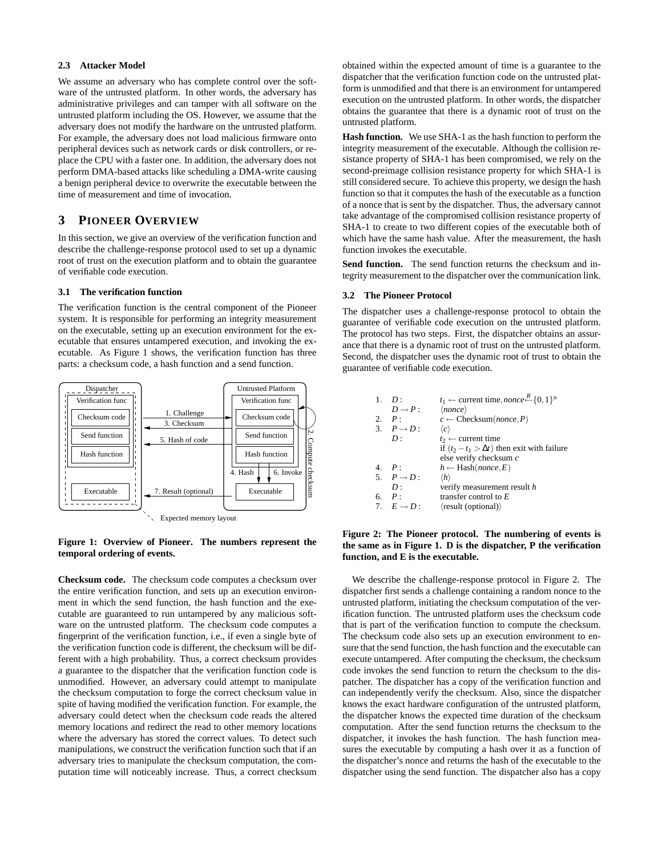# **2.3 Attacker Model**

We assume an adversary who has complete control over the software of the untrusted platform. In other words, the adversary has administrative privileges and can tamper with all software on the untrusted platform including the OS. However, we assume that the adversary does not modify the hardware on the untrusted platform. For example, the adversary does not load malicious firmware onto peripheral devices such as network cards or disk controllers, or replace the CPU with a faster one. In addition, the adversary does not perform DMA-based attacks like scheduling a DMA-write causing a benign peripheral device to overwrite the executable between the time of measurement and time of invocation.

# **3 PIONEER OVERVIEW**

In this section, we give an overview of the verification function and describe the challenge-response protocol used to set up a dynamic root of trust on the execution platform and to obtain the guarantee of verifiable code execution.

# **3.1 The verification function**

The verification function is the central component of the Pioneer system. It is responsible for performing an integrity measurement on the executable, setting up an execution environment for the executable that ensures untampered execution, and invoking the executable. As Figure 1 shows, the verification function has three parts: a checksum code, a hash function and a send function.



**Figure 1: Overview of Pioneer. The numbers represent the temporal ordering of events.**

**Checksum code.** The checksum code computes a checksum over the entire verification function, and sets up an execution environment in which the send function, the hash function and the executable are guaranteed to run untampered by any malicious software on the untrusted platform. The checksum code computes a fingerprint of the verification function, i.e., if even a single byte of the verification function code is different, the checksum will be different with a high probability. Thus, a correct checksum provides a guarantee to the dispatcher that the verification function code is unmodified. However, an adversary could attempt to manipulate the checksum computation to forge the correct checksum value in spite of having modified the verification function. For example, the adversary could detect when the checksum code reads the altered memory locations and redirect the read to other memory locations where the adversary has stored the correct values. To detect such manipulations, we construct the verification function such that if an adversary tries to manipulate the checksum computation, the computation time will noticeably increase. Thus, a correct checksum obtained within the expected amount of time is a guarantee to the dispatcher that the verification function code on the untrusted platform is unmodified and that there is an environment for untampered execution on the untrusted platform. In other words, the dispatcher obtains the guarantee that there is a dynamic root of trust on the untrusted platform.

**Hash function.** We use SHA-1 as the hash function to perform the integrity measurement of the executable. Although the collision resistance property of SHA-1 has been compromised, we rely on the second-preimage collision resistance property for which SHA-1 is still considered secure. To achieve this property, we design the hash function so that it computes the hash of the executable as a function of a nonce that is sent by the dispatcher. Thus, the adversary cannot take advantage of the compromised collision resistance property of SHA-1 to create to two different copies of the executable both of which have the same hash value. After the measurement, the hash function invokes the executable.

Send function. The send function returns the checksum and integrity measurement to the dispatcher over the communication link.

# **3.2 The Pioneer Protocol**

The dispatcher uses a challenge-response protocol to obtain the guarantee of verifiable code execution on the untrusted platform. The protocol has two steps. First, the dispatcher obtains an assurance that there is a dynamic root of trust on the untrusted platform. Second, the dispatcher uses the dynamic root of trust to obtain the guarantee of verifiable code execution.

| 1. | D:                     | $t_1 \leftarrow$ current time, <i>nonce</i> $\stackrel{R}{\leftarrow} \{0,1\}^n$ |
|----|------------------------|----------------------------------------------------------------------------------|
|    | $D \rightarrow P$ :    | $\langle$ <i>nonce</i> $\rangle$                                                 |
| 2. | $P \cdot$              | $c \leftarrow$ Checksum( <i>nonce</i> , P)                                       |
|    | 3. $P \rightarrow D$ : | $\langle c \rangle$                                                              |
|    | $\mathbf{D}$ .         | $t_2 \leftarrow$ current time                                                    |
|    |                        | if $(t_2 - t_1 > \Delta t)$ then exit with failure                               |
|    |                        | else verify checksum c                                                           |
|    | P:                     | $h \leftarrow$ Hash( <i>nonce</i> , E)                                           |
|    | 5. $P \rightarrow D$ : | $\langle h \rangle$                                                              |
|    | D:                     | verify measurement result h                                                      |
| 6. | $P \cdot$              | transfer control to $E$                                                          |
|    | $E \rightarrow D$      | $\langle$ result (optional) $\rangle$                                            |
|    |                        |                                                                                  |

# **Figure 2: The Pioneer protocol. The numbering of events is the same as in Figure 1. D is the dispatcher, P the verification function, and E is the executable.**

We describe the challenge-response protocol in Figure 2. The dispatcher first sends a challenge containing a random nonce to the untrusted platform, initiating the checksum computation of the verification function. The untrusted platform uses the checksum code that is part of the verification function to compute the checksum. The checksum code also sets up an execution environment to ensure that the send function, the hash function and the executable can execute untampered. After computing the checksum, the checksum code invokes the send function to return the checksum to the dispatcher. The dispatcher has a copy of the verification function and can independently verify the checksum. Also, since the dispatcher knows the exact hardware configuration of the untrusted platform, the dispatcher knows the expected time duration of the checksum computation. After the send function returns the checksum to the dispatcher, it invokes the hash function. The hash function measures the executable by computing a hash over it as a function of the dispatcher's nonce and returns the hash of the executable to the dispatcher using the send function. The dispatcher also has a copy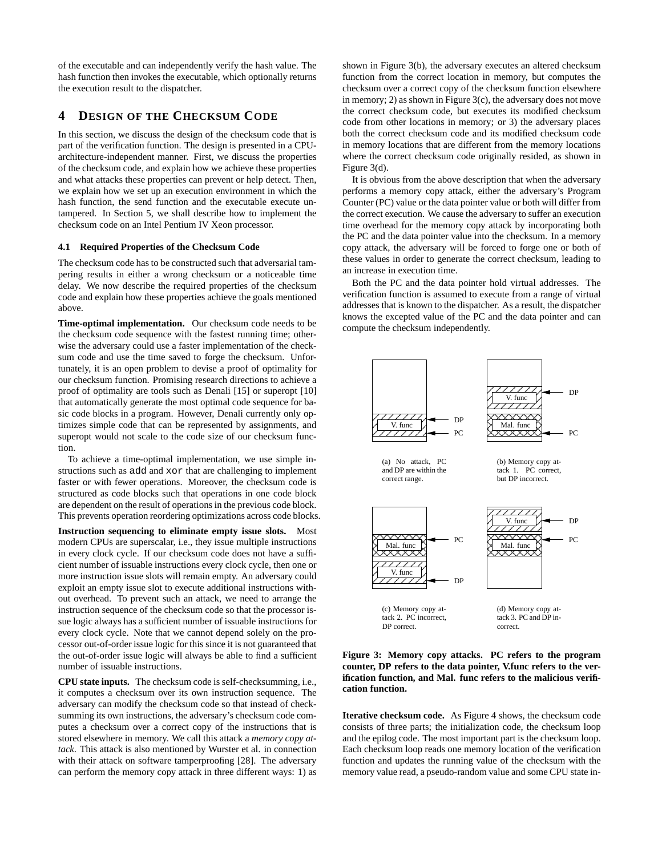of the executable and can independently verify the hash value. The hash function then invokes the executable, which optionally returns the execution result to the dispatcher.

# **4 DESIGN OF THE CHECKSUM CODE**

In this section, we discuss the design of the checksum code that is part of the verification function. The design is presented in a CPUarchitecture-independent manner. First, we discuss the properties of the checksum code, and explain how we achieve these properties and what attacks these properties can prevent or help detect. Then, we explain how we set up an execution environment in which the hash function, the send function and the executable execute untampered. In Section 5, we shall describe how to implement the checksum code on an Intel Pentium IV Xeon processor.

#### **4.1 Required Properties of the Checksum Code**

The checksum code has to be constructed such that adversarial tampering results in either a wrong checksum or a noticeable time delay. We now describe the required properties of the checksum code and explain how these properties achieve the goals mentioned above.

**Time-optimal implementation.** Our checksum code needs to be the checksum code sequence with the fastest running time; otherwise the adversary could use a faster implementation of the checksum code and use the time saved to forge the checksum. Unfortunately, it is an open problem to devise a proof of optimality for our checksum function. Promising research directions to achieve a proof of optimality are tools such as Denali [15] or superopt [10] that automatically generate the most optimal code sequence for basic code blocks in a program. However, Denali currently only optimizes simple code that can be represented by assignments, and superopt would not scale to the code size of our checksum function.

To achieve a time-optimal implementation, we use simple instructions such as add and xor that are challenging to implement faster or with fewer operations. Moreover, the checksum code is structured as code blocks such that operations in one code block are dependent on the result of operations in the previous code block. This prevents operation reordering optimizations across code blocks.

**Instruction sequencing to eliminate empty issue slots.** Most modern CPUs are superscalar, i.e., they issue multiple instructions in every clock cycle. If our checksum code does not have a sufficient number of issuable instructions every clock cycle, then one or more instruction issue slots will remain empty. An adversary could exploit an empty issue slot to execute additional instructions without overhead. To prevent such an attack, we need to arrange the instruction sequence of the checksum code so that the processor issue logic always has a sufficient number of issuable instructions for every clock cycle. Note that we cannot depend solely on the processor out-of-order issue logic for this since it is not guaranteed that the out-of-order issue logic will always be able to find a sufficient number of issuable instructions.

**CPU state inputs.** The checksum code is self-checksumming, i.e., it computes a checksum over its own instruction sequence. The adversary can modify the checksum code so that instead of checksumming its own instructions, the adversary's checksum code computes a checksum over a correct copy of the instructions that is stored elsewhere in memory. We call this attack a *memory copy attack*. This attack is also mentioned by Wurster et al. in connection with their attack on software tamperproofing [28]. The adversary can perform the memory copy attack in three different ways: 1) as shown in Figure 3(b), the adversary executes an altered checksum function from the correct location in memory, but computes the checksum over a correct copy of the checksum function elsewhere in memory; 2) as shown in Figure 3(c), the adversary does not move the correct checksum code, but executes its modified checksum code from other locations in memory; or 3) the adversary places both the correct checksum code and its modified checksum code in memory locations that are different from the memory locations where the correct checksum code originally resided, as shown in Figure 3(d).

It is obvious from the above description that when the adversary performs a memory copy attack, either the adversary's Program Counter (PC) value or the data pointer value or both will differ from the correct execution. We cause the adversary to suffer an execution time overhead for the memory copy attack by incorporating both the PC and the data pointer value into the checksum. In a memory copy attack, the adversary will be forced to forge one or both of these values in order to generate the correct checksum, leading to an increase in execution time.

Both the PC and the data pointer hold virtual addresses. The verification function is assumed to execute from a range of virtual addresses that is known to the dispatcher. As a result, the dispatcher knows the excepted value of the PC and the data pointer and can compute the checksum independently.



**Figure 3: Memory copy attacks. PC refers to the program counter, DP refers to the data pointer, V.func refers to the verification function, and Mal. func refers to the malicious verification function.**

**Iterative checksum code.** As Figure 4 shows, the checksum code consists of three parts; the initialization code, the checksum loop and the epilog code. The most important part is the checksum loop. Each checksum loop reads one memory location of the verification function and updates the running value of the checksum with the memory value read, a pseudo-random value and some CPU state in-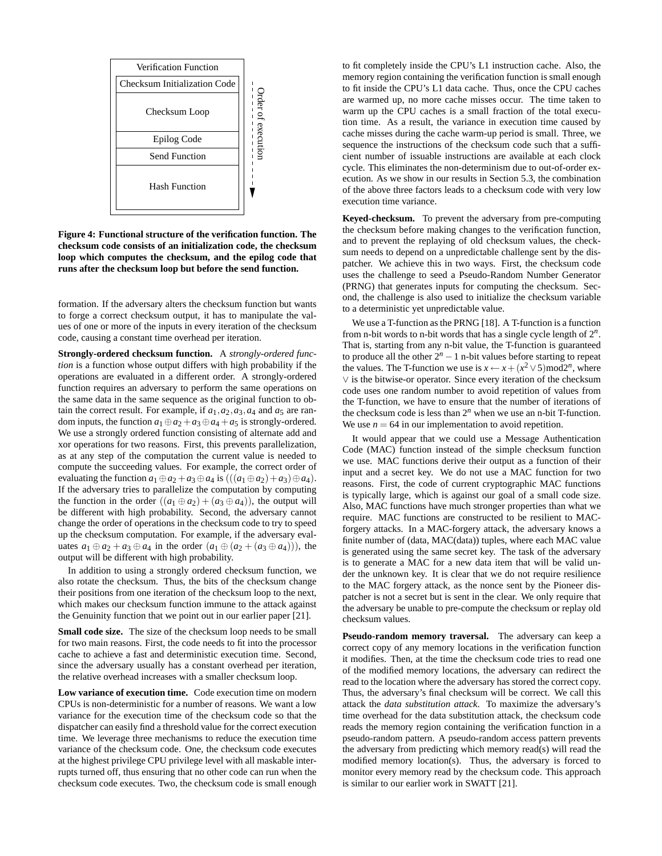

**Figure 4: Functional structure of the verification function. The checksum code consists of an initialization code, the checksum loop which computes the checksum, and the epilog code that runs after the checksum loop but before the send function.**

formation. If the adversary alters the checksum function but wants to forge a correct checksum output, it has to manipulate the values of one or more of the inputs in every iteration of the checksum code, causing a constant time overhead per iteration.

**Strongly-ordered checksum function.** A *strongly-ordered function* is a function whose output differs with high probability if the operations are evaluated in a different order. A strongly-ordered function requires an adversary to perform the same operations on the same data in the same sequence as the original function to obtain the correct result. For example, if  $a_1$ ,  $a_2$ ,  $a_3$ ,  $a_4$  and  $a_5$  are random inputs, the function  $a_1 \oplus a_2 + a_3 \oplus a_4 + a_5$  is strongly-ordered. We use a strongly ordered function consisting of alternate add and xor operations for two reasons. First, this prevents parallelization, as at any step of the computation the current value is needed to compute the succeeding values. For example, the correct order of evaluating the function  $a_1 \oplus a_2 + a_3 \oplus a_4$  is  $(((a_1 \oplus a_2) + a_3) \oplus a_4)$ . If the adversary tries to parallelize the computation by computing the function in the order  $((a_1 \oplus a_2) + (a_3 \oplus a_4))$ , the output will be different with high probability. Second, the adversary cannot change the order of operations in the checksum code to try to speed up the checksum computation. For example, if the adversary evaluates  $a_1 \oplus a_2 + a_3 \oplus a_4$  in the order  $(a_1 \oplus (a_2 + (a_3 \oplus a_4)))$ , the output will be different with high probability.

In addition to using a strongly ordered checksum function, we also rotate the checksum. Thus, the bits of the checksum change their positions from one iteration of the checksum loop to the next, which makes our checksum function immune to the attack against the Genuinity function that we point out in our earlier paper [21].

**Small code size.** The size of the checksum loop needs to be small for two main reasons. First, the code needs to fit into the processor cache to achieve a fast and deterministic execution time. Second, since the adversary usually has a constant overhead per iteration, the relative overhead increases with a smaller checksum loop.

**Low variance of execution time.** Code execution time on modern CPUs is non-deterministic for a number of reasons. We want a low variance for the execution time of the checksum code so that the dispatcher can easily find a threshold value for the correct execution time. We leverage three mechanisms to reduce the execution time variance of the checksum code. One, the checksum code executes at the highest privilege CPU privilege level with all maskable interrupts turned off, thus ensuring that no other code can run when the checksum code executes. Two, the checksum code is small enough to fit completely inside the CPU's L1 instruction cache. Also, the memory region containing the verification function is small enough to fit inside the CPU's L1 data cache. Thus, once the CPU caches are warmed up, no more cache misses occur. The time taken to warm up the CPU caches is a small fraction of the total execution time. As a result, the variance in execution time caused by cache misses during the cache warm-up period is small. Three, we sequence the instructions of the checksum code such that a sufficient number of issuable instructions are available at each clock cycle. This eliminates the non-determinism due to out-of-order execution. As we show in our results in Section 5.3, the combination of the above three factors leads to a checksum code with very low execution time variance.

**Keyed-checksum.** To prevent the adversary from pre-computing the checksum before making changes to the verification function, and to prevent the replaying of old checksum values, the checksum needs to depend on a unpredictable challenge sent by the dispatcher. We achieve this in two ways. First, the checksum code uses the challenge to seed a Pseudo-Random Number Generator (PRNG) that generates inputs for computing the checksum. Second, the challenge is also used to initialize the checksum variable to a deterministic yet unpredictable value.

We use a T-function as the PRNG [18]. A T-function is a function from n-bit words to n-bit words that has a single cycle length of 2*<sup>n</sup>* . That is, starting from any n-bit value, the T-function is guaranteed to produce all the other  $2^n - 1$  n-bit values before starting to repeat the values. The T-function we use is  $x \leftarrow x + (x^2 \vee 5) \text{ mod } 2^n$ , where ∨ is the bitwise-or operator. Since every iteration of the checksum code uses one random number to avoid repetition of values from the T-function, we have to ensure that the number of iterations of the checksum code is less than 2*<sup>n</sup>* when we use an n-bit T-function. We use  $n = 64$  in our implementation to avoid repetition.

It would appear that we could use a Message Authentication Code (MAC) function instead of the simple checksum function we use. MAC functions derive their output as a function of their input and a secret key. We do not use a MAC function for two reasons. First, the code of current cryptographic MAC functions is typically large, which is against our goal of a small code size. Also, MAC functions have much stronger properties than what we require. MAC functions are constructed to be resilient to MACforgery attacks. In a MAC-forgery attack, the adversary knows a finite number of (data, MAC(data)) tuples, where each MAC value is generated using the same secret key. The task of the adversary is to generate a MAC for a new data item that will be valid under the unknown key. It is clear that we do not require resilience to the MAC forgery attack, as the nonce sent by the Pioneer dispatcher is not a secret but is sent in the clear. We only require that the adversary be unable to pre-compute the checksum or replay old checksum values.

**Pseudo-random memory traversal.** The adversary can keep a correct copy of any memory locations in the verification function it modifies. Then, at the time the checksum code tries to read one of the modified memory locations, the adversary can redirect the read to the location where the adversary has stored the correct copy. Thus, the adversary's final checksum will be correct. We call this attack the *data substitution attack*. To maximize the adversary's time overhead for the data substitution attack, the checksum code reads the memory region containing the verification function in a pseudo-random pattern. A pseudo-random access pattern prevents the adversary from predicting which memory read(s) will read the modified memory location(s). Thus, the adversary is forced to monitor every memory read by the checksum code. This approach is similar to our earlier work in SWATT [21].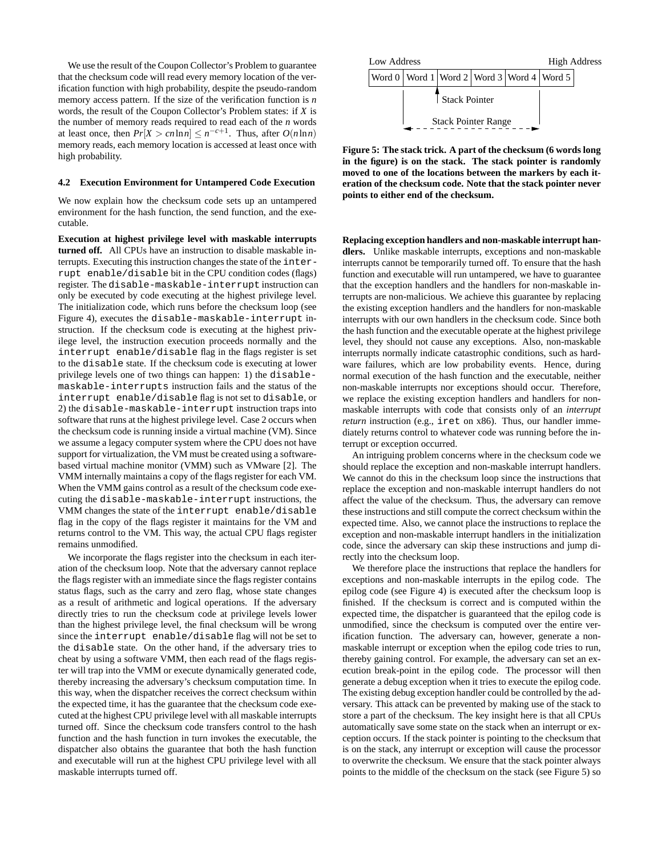We use the result of the Coupon Collector's Problem to guarantee that the checksum code will read every memory location of the verification function with high probability, despite the pseudo-random memory access pattern. If the size of the verification function is *n* words, the result of the Coupon Collector's Problem states: if *X* is the number of memory reads required to read each of the *n* words at least once, then  $Pr[X > cn \ln n] \le n^{-c+1}$ . Thus, after  $O(n \ln n)$ memory reads, each memory location is accessed at least once with high probability.

#### **4.2 Execution Environment for Untampered Code Execution**

We now explain how the checksum code sets up an untampered environment for the hash function, the send function, and the executable.

**Execution at highest privilege level with maskable interrupts turned off.** All CPUs have an instruction to disable maskable interrupts. Executing this instruction changes the state of the interrupt enable/disable bit in the CPU condition codes (flags) register. The disable-maskable-interrupt instruction can only be executed by code executing at the highest privilege level. The initialization code, which runs before the checksum loop (see Figure 4), executes the disable-maskable-interrupt instruction. If the checksum code is executing at the highest privilege level, the instruction execution proceeds normally and the interrupt enable/disable flag in the flags register is set to the disable state. If the checksum code is executing at lower privilege levels one of two things can happen: 1) the disablemaskable-interrupts instruction fails and the status of the interrupt enable/disable flag is not set to disable, or 2) the disable-maskable-interrupt instruction traps into software that runs at the highest privilege level. Case 2 occurs when the checksum code is running inside a virtual machine (VM). Since we assume a legacy computer system where the CPU does not have support for virtualization, the VM must be created using a softwarebased virtual machine monitor (VMM) such as VMware [2]. The VMM internally maintains a copy of the flags register for each VM. When the VMM gains control as a result of the checksum code executing the disable-maskable-interrupt instructions, the VMM changes the state of the interrupt enable/disable flag in the copy of the flags register it maintains for the VM and returns control to the VM. This way, the actual CPU flags register remains unmodified.

We incorporate the flags register into the checksum in each iteration of the checksum loop. Note that the adversary cannot replace the flags register with an immediate since the flags register contains status flags, such as the carry and zero flag, whose state changes as a result of arithmetic and logical operations. If the adversary directly tries to run the checksum code at privilege levels lower than the highest privilege level, the final checksum will be wrong since the interrupt enable/disable flag will not be set to the disable state. On the other hand, if the adversary tries to cheat by using a software VMM, then each read of the flags register will trap into the VMM or execute dynamically generated code, thereby increasing the adversary's checksum computation time. In this way, when the dispatcher receives the correct checksum within the expected time, it has the guarantee that the checksum code executed at the highest CPU privilege level with all maskable interrupts turned off. Since the checksum code transfers control to the hash function and the hash function in turn invokes the executable, the dispatcher also obtains the guarantee that both the hash function and executable will run at the highest CPU privilege level with all maskable interrupts turned off.



**Figure 5: The stack trick. A part of the checksum (6 words long in the figure) is on the stack. The stack pointer is randomly moved to one of the locations between the markers by each iteration of the checksum code. Note that the stack pointer never points to either end of the checksum.**

**Replacing exception handlers and non-maskable interrupt handlers.** Unlike maskable interrupts, exceptions and non-maskable interrupts cannot be temporarily turned off. To ensure that the hash function and executable will run untampered, we have to guarantee that the exception handlers and the handlers for non-maskable interrupts are non-malicious. We achieve this guarantee by replacing the existing exception handlers and the handlers for non-maskable interrupts with our own handlers in the checksum code. Since both the hash function and the executable operate at the highest privilege level, they should not cause any exceptions. Also, non-maskable interrupts normally indicate catastrophic conditions, such as hardware failures, which are low probability events. Hence, during normal execution of the hash function and the executable, neither non-maskable interrupts nor exceptions should occur. Therefore, we replace the existing exception handlers and handlers for nonmaskable interrupts with code that consists only of an *interrupt return* instruction (e.g., iret on x86). Thus, our handler immediately returns control to whatever code was running before the interrupt or exception occurred.

An intriguing problem concerns where in the checksum code we should replace the exception and non-maskable interrupt handlers. We cannot do this in the checksum loop since the instructions that replace the exception and non-maskable interrupt handlers do not affect the value of the checksum. Thus, the adversary can remove these instructions and still compute the correct checksum within the expected time. Also, we cannot place the instructions to replace the exception and non-maskable interrupt handlers in the initialization code, since the adversary can skip these instructions and jump directly into the checksum loop.

We therefore place the instructions that replace the handlers for exceptions and non-maskable interrupts in the epilog code. The epilog code (see Figure 4) is executed after the checksum loop is finished. If the checksum is correct and is computed within the expected time, the dispatcher is guaranteed that the epilog code is unmodified, since the checksum is computed over the entire verification function. The adversary can, however, generate a nonmaskable interrupt or exception when the epilog code tries to run, thereby gaining control. For example, the adversary can set an execution break-point in the epilog code. The processor will then generate a debug exception when it tries to execute the epilog code. The existing debug exception handler could be controlled by the adversary. This attack can be prevented by making use of the stack to store a part of the checksum. The key insight here is that all CPUs automatically save some state on the stack when an interrupt or exception occurs. If the stack pointer is pointing to the checksum that is on the stack, any interrupt or exception will cause the processor to overwrite the checksum. We ensure that the stack pointer always points to the middle of the checksum on the stack (see Figure 5) so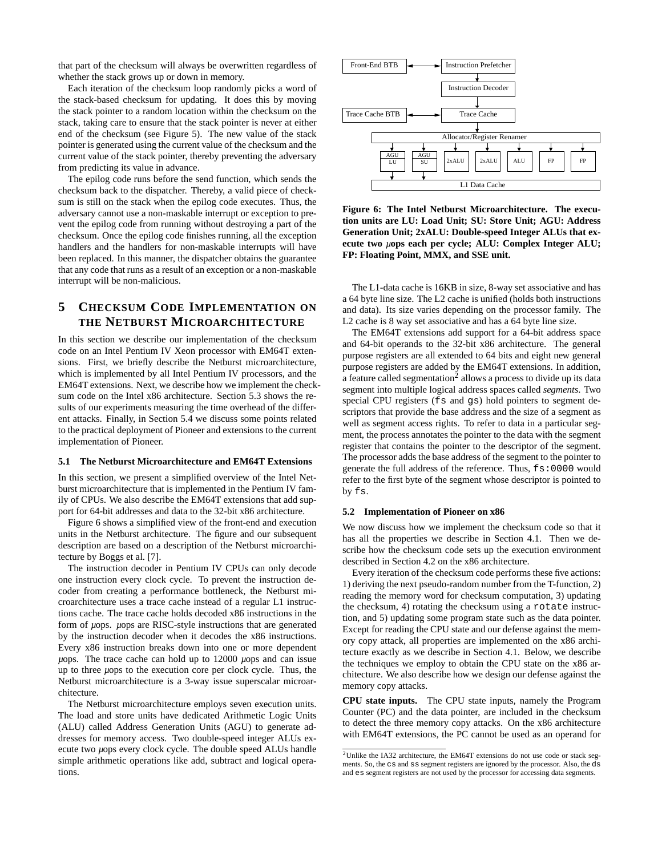that part of the checksum will always be overwritten regardless of whether the stack grows up or down in memory.

Each iteration of the checksum loop randomly picks a word of the stack-based checksum for updating. It does this by moving the stack pointer to a random location within the checksum on the stack, taking care to ensure that the stack pointer is never at either end of the checksum (see Figure 5). The new value of the stack pointer is generated using the current value of the checksum and the current value of the stack pointer, thereby preventing the adversary from predicting its value in advance.

The epilog code runs before the send function, which sends the checksum back to the dispatcher. Thereby, a valid piece of checksum is still on the stack when the epilog code executes. Thus, the adversary cannot use a non-maskable interrupt or exception to prevent the epilog code from running without destroying a part of the checksum. Once the epilog code finishes running, all the exception handlers and the handlers for non-maskable interrupts will have been replaced. In this manner, the dispatcher obtains the guarantee that any code that runs as a result of an exception or a non-maskable interrupt will be non-malicious.

# **5 CHECKSUM CODE IMPLEMENTATION ON THE NETBURST MICROARCHITECTURE**

In this section we describe our implementation of the checksum code on an Intel Pentium IV Xeon processor with EM64T extensions. First, we briefly describe the Netburst microarchitecture, which is implemented by all Intel Pentium IV processors, and the EM64T extensions. Next, we describe how we implement the checksum code on the Intel x86 architecture. Section 5.3 shows the results of our experiments measuring the time overhead of the different attacks. Finally, in Section 5.4 we discuss some points related to the practical deployment of Pioneer and extensions to the current implementation of Pioneer.

### **5.1 The Netburst Microarchitecture and EM64T Extensions**

In this section, we present a simplified overview of the Intel Netburst microarchitecture that is implemented in the Pentium IV family of CPUs. We also describe the EM64T extensions that add support for 64-bit addresses and data to the 32-bit x86 architecture.

Figure 6 shows a simplified view of the front-end and execution units in the Netburst architecture. The figure and our subsequent description are based on a description of the Netburst microarchitecture by Boggs et al. [7].

The instruction decoder in Pentium IV CPUs can only decode one instruction every clock cycle. To prevent the instruction decoder from creating a performance bottleneck, the Netburst microarchitecture uses a trace cache instead of a regular L1 instructions cache. The trace cache holds decoded x86 instructions in the form of *µ*ops. *µ*ops are RISC-style instructions that are generated by the instruction decoder when it decodes the x86 instructions. Every x86 instruction breaks down into one or more dependent *µ*ops. The trace cache can hold up to 12000 *µ*ops and can issue up to three *µ*ops to the execution core per clock cycle. Thus, the Netburst microarchitecture is a 3-way issue superscalar microarchitecture.

The Netburst microarchitecture employs seven execution units. The load and store units have dedicated Arithmetic Logic Units (ALU) called Address Generation Units (AGU) to generate addresses for memory access. Two double-speed integer ALUs execute two *µ*ops every clock cycle. The double speed ALUs handle simple arithmetic operations like add, subtract and logical operations.



**Figure 6: The Intel Netburst Microarchitecture. The execution units are LU: Load Unit; SU: Store Unit; AGU: Address Generation Unit; 2xALU: Double-speed Integer ALUs that execute two** *µ***ops each per cycle; ALU: Complex Integer ALU; FP: Floating Point, MMX, and SSE unit.**

The L1-data cache is 16KB in size, 8-way set associative and has a 64 byte line size. The L2 cache is unified (holds both instructions and data). Its size varies depending on the processor family. The L2 cache is 8 way set associative and has a 64 byte line size.

The EM64T extensions add support for a 64-bit address space and 64-bit operands to the 32-bit x86 architecture. The general purpose registers are all extended to 64 bits and eight new general purpose registers are added by the EM64T extensions. In addition, a feature called segmentation<sup>2</sup> allows a process to divide up its data segment into multiple logical address spaces called *segments*. Two special CPU registers (fs and gs) hold pointers to segment descriptors that provide the base address and the size of a segment as well as segment access rights. To refer to data in a particular segment, the process annotates the pointer to the data with the segment register that contains the pointer to the descriptor of the segment. The processor adds the base address of the segment to the pointer to generate the full address of the reference. Thus,  $fs:0000$  would refer to the first byte of the segment whose descriptor is pointed to by fs.

#### **5.2 Implementation of Pioneer on x86**

We now discuss how we implement the checksum code so that it has all the properties we describe in Section 4.1. Then we describe how the checksum code sets up the execution environment described in Section 4.2 on the x86 architecture.

Every iteration of the checksum code performs these five actions: 1) deriving the next pseudo-random number from the T-function, 2) reading the memory word for checksum computation, 3) updating the checksum, 4) rotating the checksum using a rotate instruction, and 5) updating some program state such as the data pointer. Except for reading the CPU state and our defense against the memory copy attack, all properties are implemented on the x86 architecture exactly as we describe in Section 4.1. Below, we describe the techniques we employ to obtain the CPU state on the x86 architecture. We also describe how we design our defense against the memory copy attacks.

**CPU state inputs.** The CPU state inputs, namely the Program Counter (PC) and the data pointer, are included in the checksum to detect the three memory copy attacks. On the x86 architecture with EM64T extensions, the PC cannot be used as an operand for

<sup>&</sup>lt;sup>2</sup>Unlike the IA32 architecture, the EM64T extensions do not use code or stack segments. So, the cs and ss segment registers are ignored by the processor. Also, the ds and es segment registers are not used by the processor for accessing data segments.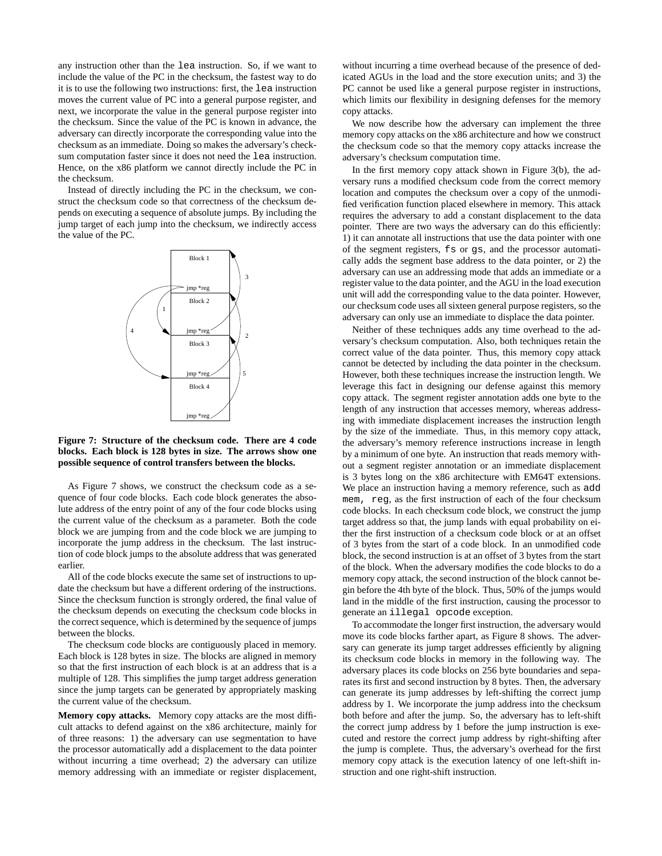any instruction other than the lea instruction. So, if we want to include the value of the PC in the checksum, the fastest way to do it is to use the following two instructions: first, the lea instruction moves the current value of PC into a general purpose register, and next, we incorporate the value in the general purpose register into the checksum. Since the value of the PC is known in advance, the adversary can directly incorporate the corresponding value into the checksum as an immediate. Doing so makes the adversary's checksum computation faster since it does not need the lea instruction. Hence, on the x86 platform we cannot directly include the PC in the checksum.

Instead of directly including the PC in the checksum, we construct the checksum code so that correctness of the checksum depends on executing a sequence of absolute jumps. By including the jump target of each jump into the checksum, we indirectly access the value of the PC.



# **Figure 7: Structure of the checksum code. There are 4 code blocks. Each block is 128 bytes in size. The arrows show one possible sequence of control transfers between the blocks.**

As Figure 7 shows, we construct the checksum code as a sequence of four code blocks. Each code block generates the absolute address of the entry point of any of the four code blocks using the current value of the checksum as a parameter. Both the code block we are jumping from and the code block we are jumping to incorporate the jump address in the checksum. The last instruction of code block jumps to the absolute address that was generated earlier.

All of the code blocks execute the same set of instructions to update the checksum but have a different ordering of the instructions. Since the checksum function is strongly ordered, the final value of the checksum depends on executing the checksum code blocks in the correct sequence, which is determined by the sequence of jumps between the blocks.

The checksum code blocks are contiguously placed in memory. Each block is 128 bytes in size. The blocks are aligned in memory so that the first instruction of each block is at an address that is a multiple of 128. This simplifies the jump target address generation since the jump targets can be generated by appropriately masking the current value of the checksum.

**Memory copy attacks.** Memory copy attacks are the most difficult attacks to defend against on the x86 architecture, mainly for of three reasons: 1) the adversary can use segmentation to have the processor automatically add a displacement to the data pointer without incurring a time overhead; 2) the adversary can utilize memory addressing with an immediate or register displacement,

without incurring a time overhead because of the presence of dedicated AGUs in the load and the store execution units; and 3) the PC cannot be used like a general purpose register in instructions, which limits our flexibility in designing defenses for the memory copy attacks.

We now describe how the adversary can implement the three memory copy attacks on the x86 architecture and how we construct the checksum code so that the memory copy attacks increase the adversary's checksum computation time.

In the first memory copy attack shown in Figure 3(b), the adversary runs a modified checksum code from the correct memory location and computes the checksum over a copy of the unmodified verification function placed elsewhere in memory. This attack requires the adversary to add a constant displacement to the data pointer. There are two ways the adversary can do this efficiently: 1) it can annotate all instructions that use the data pointer with one of the segment registers, fs or gs, and the processor automatically adds the segment base address to the data pointer, or 2) the adversary can use an addressing mode that adds an immediate or a register value to the data pointer, and the AGU in the load execution unit will add the corresponding value to the data pointer. However, our checksum code uses all sixteen general purpose registers, so the adversary can only use an immediate to displace the data pointer.

Neither of these techniques adds any time overhead to the adversary's checksum computation. Also, both techniques retain the correct value of the data pointer. Thus, this memory copy attack cannot be detected by including the data pointer in the checksum. However, both these techniques increase the instruction length. We leverage this fact in designing our defense against this memory copy attack. The segment register annotation adds one byte to the length of any instruction that accesses memory, whereas addressing with immediate displacement increases the instruction length by the size of the immediate. Thus, in this memory copy attack, the adversary's memory reference instructions increase in length by a minimum of one byte. An instruction that reads memory without a segment register annotation or an immediate displacement is 3 bytes long on the x86 architecture with EM64T extensions. We place an instruction having a memory reference, such as add mem, reg, as the first instruction of each of the four checksum code blocks. In each checksum code block, we construct the jump target address so that, the jump lands with equal probability on either the first instruction of a checksum code block or at an offset of 3 bytes from the start of a code block. In an unmodified code block, the second instruction is at an offset of 3 bytes from the start of the block. When the adversary modifies the code blocks to do a memory copy attack, the second instruction of the block cannot begin before the 4th byte of the block. Thus, 50% of the jumps would land in the middle of the first instruction, causing the processor to generate an illegal opcode exception.

To accommodate the longer first instruction, the adversary would move its code blocks farther apart, as Figure 8 shows. The adversary can generate its jump target addresses efficiently by aligning its checksum code blocks in memory in the following way. The adversary places its code blocks on 256 byte boundaries and separates its first and second instruction by 8 bytes. Then, the adversary can generate its jump addresses by left-shifting the correct jump address by 1. We incorporate the jump address into the checksum both before and after the jump. So, the adversary has to left-shift the correct jump address by 1 before the jump instruction is executed and restore the correct jump address by right-shifting after the jump is complete. Thus, the adversary's overhead for the first memory copy attack is the execution latency of one left-shift instruction and one right-shift instruction.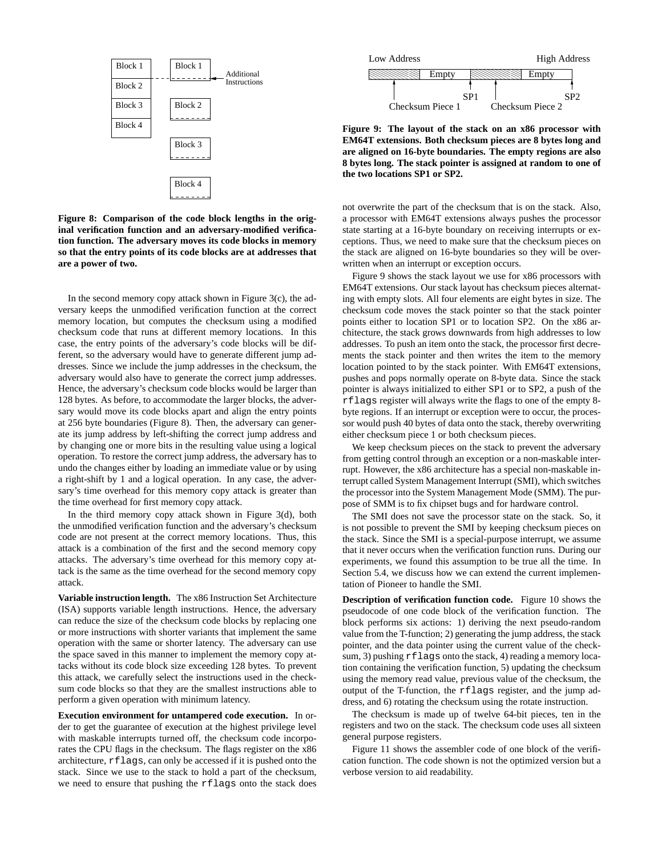

**Figure 8: Comparison of the code block lengths in the original verification function and an adversary-modified verification function. The adversary moves its code blocks in memory so that the entry points of its code blocks are at addresses that are a power of two.**

In the second memory copy attack shown in Figure  $3(c)$ , the adversary keeps the unmodified verification function at the correct memory location, but computes the checksum using a modified checksum code that runs at different memory locations. In this case, the entry points of the adversary's code blocks will be different, so the adversary would have to generate different jump addresses. Since we include the jump addresses in the checksum, the adversary would also have to generate the correct jump addresses. Hence, the adversary's checksum code blocks would be larger than 128 bytes. As before, to accommodate the larger blocks, the adversary would move its code blocks apart and align the entry points at 256 byte boundaries (Figure 8). Then, the adversary can generate its jump address by left-shifting the correct jump address and by changing one or more bits in the resulting value using a logical operation. To restore the correct jump address, the adversary has to undo the changes either by loading an immediate value or by using a right-shift by 1 and a logical operation. In any case, the adversary's time overhead for this memory copy attack is greater than the time overhead for first memory copy attack.

In the third memory copy attack shown in Figure 3(d), both the unmodified verification function and the adversary's checksum code are not present at the correct memory locations. Thus, this attack is a combination of the first and the second memory copy attacks. The adversary's time overhead for this memory copy attack is the same as the time overhead for the second memory copy attack.

**Variable instruction length.** The x86 Instruction Set Architecture (ISA) supports variable length instructions. Hence, the adversary can reduce the size of the checksum code blocks by replacing one or more instructions with shorter variants that implement the same operation with the same or shorter latency. The adversary can use the space saved in this manner to implement the memory copy attacks without its code block size exceeding 128 bytes. To prevent this attack, we carefully select the instructions used in the checksum code blocks so that they are the smallest instructions able to perform a given operation with minimum latency.

**Execution environment for untampered code execution.** In order to get the guarantee of execution at the highest privilege level with maskable interrupts turned off, the checksum code incorporates the CPU flags in the checksum. The flags register on the x86 architecture, rflags, can only be accessed if it is pushed onto the stack. Since we use to the stack to hold a part of the checksum, we need to ensure that pushing the rflags onto the stack does



**Figure 9: The layout of the stack on an x86 processor with EM64T extensions. Both checksum pieces are 8 bytes long and are aligned on 16-byte boundaries. The empty regions are also 8 bytes long. The stack pointer is assigned at random to one of the two locations SP1 or SP2.**

not overwrite the part of the checksum that is on the stack. Also, a processor with EM64T extensions always pushes the processor state starting at a 16-byte boundary on receiving interrupts or exceptions. Thus, we need to make sure that the checksum pieces on the stack are aligned on 16-byte boundaries so they will be overwritten when an interrupt or exception occurs.

Figure 9 shows the stack layout we use for x86 processors with EM64T extensions. Our stack layout has checksum pieces alternating with empty slots. All four elements are eight bytes in size. The checksum code moves the stack pointer so that the stack pointer points either to location SP1 or to location SP2. On the x86 architecture, the stack grows downwards from high addresses to low addresses. To push an item onto the stack, the processor first decrements the stack pointer and then writes the item to the memory location pointed to by the stack pointer. With EM64T extensions, pushes and pops normally operate on 8-byte data. Since the stack pointer is always initialized to either SP1 or to SP2, a push of the rflags register will always write the flags to one of the empty 8 byte regions. If an interrupt or exception were to occur, the processor would push 40 bytes of data onto the stack, thereby overwriting either checksum piece 1 or both checksum pieces.

We keep checksum pieces on the stack to prevent the adversary from getting control through an exception or a non-maskable interrupt. However, the x86 architecture has a special non-maskable interrupt called System Management Interrupt (SMI), which switches the processor into the System Management Mode (SMM). The purpose of SMM is to fix chipset bugs and for hardware control.

The SMI does not save the processor state on the stack. So, it is not possible to prevent the SMI by keeping checksum pieces on the stack. Since the SMI is a special-purpose interrupt, we assume that it never occurs when the verification function runs. During our experiments, we found this assumption to be true all the time. In Section 5.4, we discuss how we can extend the current implementation of Pioneer to handle the SMI.

**Description of verification function code.** Figure 10 shows the pseudocode of one code block of the verification function. The block performs six actions: 1) deriving the next pseudo-random value from the T-function; 2) generating the jump address, the stack pointer, and the data pointer using the current value of the checksum, 3) pushing rflags onto the stack, 4) reading a memory location containing the verification function, 5) updating the checksum using the memory read value, previous value of the checksum, the output of the T-function, the rflags register, and the jump address, and 6) rotating the checksum using the rotate instruction.

The checksum is made up of twelve 64-bit pieces, ten in the registers and two on the stack. The checksum code uses all sixteen general purpose registers.

Figure 11 shows the assembler code of one block of the verification function. The code shown is not the optimized version but a verbose version to aid readability.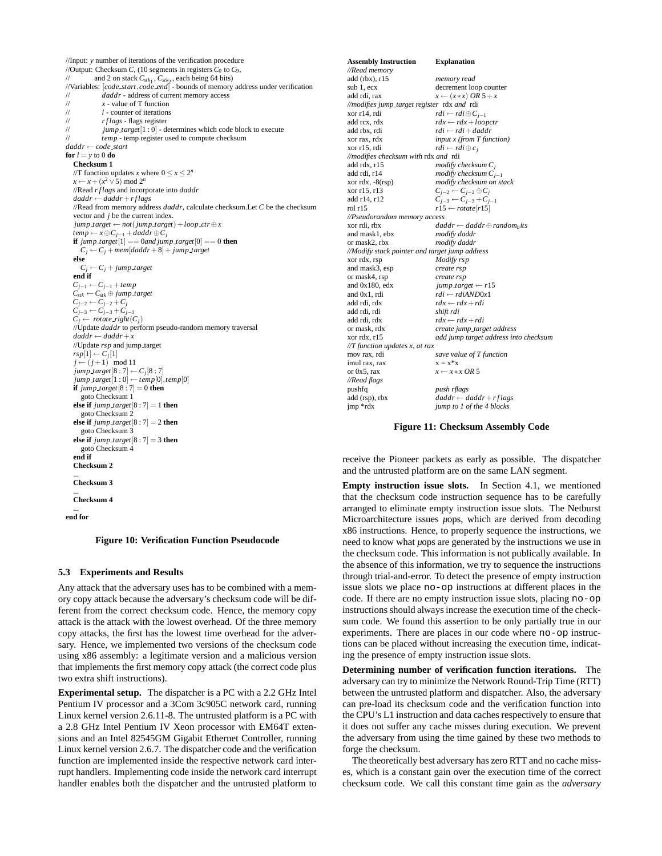//Input: *y* number of iterations of the verification procedure //Output: Checksum  $C$ , (10 segments in registers  $C_0$  to  $C_9$ ,  $\frac{1}{2}$  and 2 on stack  $C_{stk_1}$ ,  $C_{stk_2}$ , each being 64 bits) //Variables: [*code start*,*code end*] - bounds of memory address under verification // *daddr* - address of current memory access  $x - x = x$  - value of T function // *l* - counter of iterations // *r f lags* - flags register *jump\_target*[1 : 0] - determines which code block to execute // *temp* - temp register used to compute checksum *daddr* ← *code start* **for**  $l = v$  to 0 **do Checksum 1** //T function updates *x* where  $0 \le x \le 2^n$ *x* ← *x* + (*x*<sup>2</sup> ∨ 5) mod 2<sup>*n*</sup> //Read *r f lags* and incorporate into *daddr daddr* ← *daddr* +*r f lags* //Read from memory address *daddr*, calculate checksum.Let *C* be the checksum vector and *j* be the current index.  $jump\text{-}target \leftarrow not(jump\text{-}target) + loop\text{-}ctr \oplus x$ *temp* ←  $x \oplus C_{j-1}$  + *daddr*  $\oplus C_j$ **if**  $jump$   $target[1] == 0$  *and jump*  $target[0] == 0$  **then**  $C_j \leftarrow C_j + \text{mem}[\text{d} \text{addr} + 8] + \text{jump-target}$ **else**  $C_j \leftarrow C_j + \text{jump target}$ **end if** *Cj*−<sup>1</sup> ← *Cj*−<sup>1</sup> +*temp*  $\vec{C}_{\text{stk}} \leftarrow \vec{C}_{\text{stk}} \oplus \text{jump target}$  $C_{j-2}$  ←  $C_{j-2}$  +  $C_j$  $C_{j-3}$  ←  $C_{j-3}$  +  $C_{j-1}$  $C_j \leftarrow$  *rotate right* $(C_j)$ //Update *daddr* to perform pseudo-random memory traversal  $d$ *addr* ← *daddr* + *x* //Update *rsp* and jump target  $rsp[1] \leftarrow C_j[1]$  $j \leftarrow (j+1) \mod 11$  $jump\_target[8:7] \leftarrow C_j[8:7]$  $jump\_target[1:0] \leftarrow temp[0], temp[0]$ **if** *jump target*[8 : 7] = 0 **then** goto Checksum 1 **else if** *jump target*[8 : 7] = 1 **then** goto Checksum 2 **else if**  $jump\ target[8:7] = 2$  **then** goto Checksum 3 **else if** *jump target*[8 : 7] = 3 **then** goto Checksum 4 **end if Checksum 2** ... **Checksum 3** ... **Checksum 4**

... **end for**

**Figure 10: Verification Function Pseudocode**

### **5.3 Experiments and Results**

Any attack that the adversary uses has to be combined with a memory copy attack because the adversary's checksum code will be different from the correct checksum code. Hence, the memory copy attack is the attack with the lowest overhead. Of the three memory copy attacks, the first has the lowest time overhead for the adversary. Hence, we implemented two versions of the checksum code using x86 assembly: a legitimate version and a malicious version that implements the first memory copy attack (the correct code plus two extra shift instructions).

**Experimental setup.** The dispatcher is a PC with a 2.2 GHz Intel Pentium IV processor and a 3Com 3c905C network card, running Linux kernel version 2.6.11-8. The untrusted platform is a PC with a 2.8 GHz Intel Pentium IV Xeon processor with EM64T extensions and an Intel 82545GM Gigabit Ethernet Controller, running Linux kernel version 2.6.7. The dispatcher code and the verification function are implemented inside the respective network card interrupt handlers. Implementing code inside the network card interrupt handler enables both the dispatcher and the untrusted platform to

```
Assembly Instruction Explanation
//Read memory
add (rbx), r15 memory read
sub 1, ecx decrement loop counter<br>add rdi, rax x \leftarrow (x * x) OR 5 + xx \leftarrow (x * x) \textit{ OR } 5 + x//modifies jump target register rdx and rdi
xor r14, rdi<br>
add rcx, rdx<br>
rdx ← rdx + loop
                                     rdx \leftarrow rdx + \hat{i}\omega\phiadd rbx, rdi rdi ← rdi+daddr
xor rax, rdx input x (from T function)<br>xor r15, rdi rdi \leftarrow rd \oplus c_ir\ddot{di} \leftarrow r\ddot{di} \oplus c_j//modifies checksum with rdx and rdi
add rdx, r15 modify checksum C<sub>j</sub><br>add rdi, r14 modify checksum C<sub>j</sub>
add rdi, r14 modify checksum C<sub>j−1</sub> modify checksum on st modify checksum on st
xor rdx, -8(rsp) modify checksum on stack<br>xor r15, r13 C_{i-2} \leftarrow C_{i-2} \oplus C_ix \text{ or } r15, r13<br>
add r14, r12 C_{i-3} \leftarrow C_{i-3} + C_iadd r14, r12 C_{j-3} \leftarrow C_{j-3} + C_{j-1}<br>rol r15 r15 ← rotate [r15]
                                    r15 \leftarrow rotate[r15]//Pseudorandom memory access
xor rdi, rbx daddr ← daddr ⊕randombits
                                    modify daddr<br>modify daddr
or mask2, rbx
//Modify stack pointer and target jump address
                                    Modify rsp
and mask3, esp create rsp<br>or mask4, rsp create rsp
or mask4, rsp<br>and 0x180, edx
and 0x180, edx jump target \leftarrow r15<br>and 0x1, rdi rdi \leftarrow rdiAND0x1and 0x1, rdi rdi \leftarrow rdiAND0x1<br>add rdi, rdx rdx \leftarrow rdx + rdirdx \leftarrow rdx + rdi<br>shift rdi
add rdi, rdi shift rdi
                                     rdx \leftarrow rdx + rdior mask, rdx create jump target address
                                     xor rdx, r15 add jump target address into checksum
//T function updates x, at rax
                                    save value of T function
imul rax, rax x = x * x<br>or 0x5, rax x \leftarrow x * xx \leftarrow x * x \text{ OR } 5//Read flags
pushfq push rflags
\text{add (rgb)}, \text{rbx} daddr ← daddr + rflags
```
**Figure 11: Checksum Assembly Code**

jmp \*rdx *jump to 1 of the 4 blocks*

receive the Pioneer packets as early as possible. The dispatcher and the untrusted platform are on the same LAN segment.

**Empty instruction issue slots.** In Section 4.1, we mentioned that the checksum code instruction sequence has to be carefully arranged to eliminate empty instruction issue slots. The Netburst Microarchitecture issues *µops*, which are derived from decoding x86 instructions. Hence, to properly sequence the instructions, we need to know what *µ*ops are generated by the instructions we use in the checksum code. This information is not publically available. In the absence of this information, we try to sequence the instructions through trial-and-error. To detect the presence of empty instruction issue slots we place no-op instructions at different places in the code. If there are no empty instruction issue slots, placing no-op instructions should always increase the execution time of the checksum code. We found this assertion to be only partially true in our experiments. There are places in our code where no-op instructions can be placed without increasing the execution time, indicating the presence of empty instruction issue slots.

**Determining number of verification function iterations.** The adversary can try to minimize the Network Round-Trip Time (RTT) between the untrusted platform and dispatcher. Also, the adversary can pre-load its checksum code and the verification function into the CPU's L1 instruction and data caches respectively to ensure that it does not suffer any cache misses during execution. We prevent the adversary from using the time gained by these two methods to forge the checksum.

The theoretically best adversary has zero RTT and no cache misses, which is a constant gain over the execution time of the correct checksum code. We call this constant time gain as the *adversary*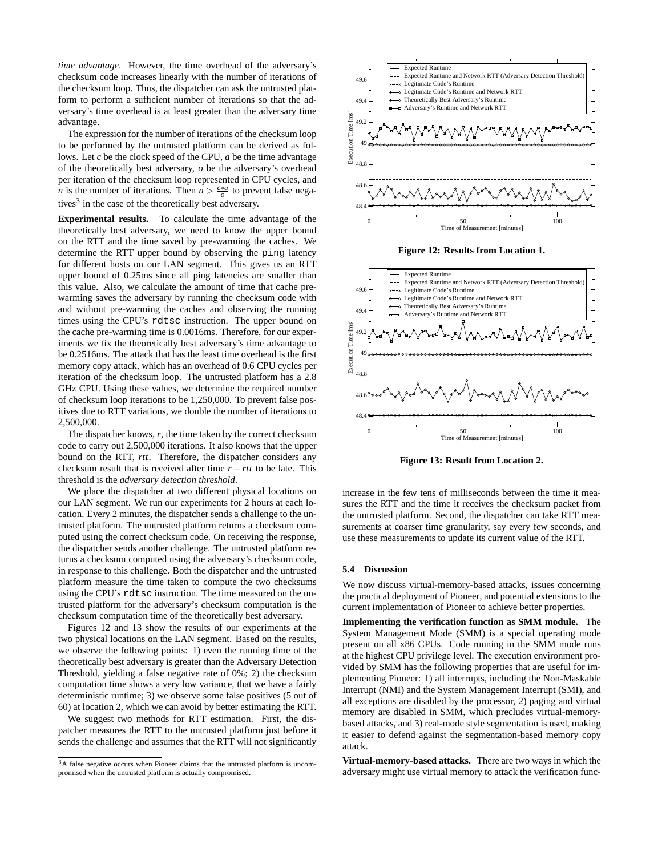*time advantage*. However, the time overhead of the adversary's checksum code increases linearly with the number of iterations of the checksum loop. Thus, the dispatcher can ask the untrusted platform to perform a sufficient number of iterations so that the adversary's time overhead is at least greater than the adversary time advantage.

The expression for the number of iterations of the checksum loop to be performed by the untrusted platform can be derived as follows. Let *c* be the clock speed of the CPU, *a* be the time advantage of the theoretically best adversary, *o* be the adversary's overhead per iteration of the checksum loop represented in CPU cycles, and *n* is the number of iterations. Then  $n > \frac{c*a}{o}$  to prevent false negatives<sup>3</sup> in the case of the theoretically best adversary.

**Experimental results.** To calculate the time advantage of the theoretically best adversary, we need to know the upper bound on the RTT and the time saved by pre-warming the caches. We determine the RTT upper bound by observing the ping latency for different hosts on our LAN segment. This gives us an RTT upper bound of 0.25ms since all ping latencies are smaller than this value. Also, we calculate the amount of time that cache prewarming saves the adversary by running the checksum code with and without pre-warming the caches and observing the running times using the CPU's rdtsc instruction. The upper bound on the cache pre-warming time is 0.0016ms. Therefore, for our experiments we fix the theoretically best adversary's time advantage to be 0.2516ms. The attack that has the least time overhead is the first memory copy attack, which has an overhead of 0.6 CPU cycles per iteration of the checksum loop. The untrusted platform has a 2.8 GHz CPU. Using these values, we determine the required number of checksum loop iterations to be 1,250,000. To prevent false positives due to RTT variations, we double the number of iterations to 2,500,000.

The dispatcher knows, *r*, the time taken by the correct checksum code to carry out 2,500,000 iterations. It also knows that the upper bound on the RTT, *rtt*. Therefore, the dispatcher considers any checksum result that is received after time  $r + rt$  to be late. This threshold is the *adversary detection threshold*.

We place the dispatcher at two different physical locations on our LAN segment. We run our experiments for 2 hours at each location. Every 2 minutes, the dispatcher sends a challenge to the untrusted platform. The untrusted platform returns a checksum computed using the correct checksum code. On receiving the response, the dispatcher sends another challenge. The untrusted platform returns a checksum computed using the adversary's checksum code, in response to this challenge. Both the dispatcher and the untrusted platform measure the time taken to compute the two checksums using the CPU's rdtsc instruction. The time measured on the untrusted platform for the adversary's checksum computation is the checksum computation time of the theoretically best adversary.

Figures 12 and 13 show the results of our experiments at the two physical locations on the LAN segment. Based on the results, we observe the following points: 1) even the running time of the theoretically best adversary is greater than the Adversary Detection Threshold, yielding a false negative rate of 0%; 2) the checksum computation time shows a very low variance, that we have a fairly deterministic runtime; 3) we observe some false positives (5 out of 60) at location 2, which we can avoid by better estimating the RTT.

We suggest two methods for RTT estimation. First, the dispatcher measures the RTT to the untrusted platform just before it sends the challenge and assumes that the RTT will not significantly



**Figure 12: Results from Location 1.**



**Figure 13: Result from Location 2.**

increase in the few tens of milliseconds between the time it measures the RTT and the time it receives the checksum packet from the untrusted platform. Second, the dispatcher can take RTT measurements at coarser time granularity, say every few seconds, and use these measurements to update its current value of the RTT.

### **5.4 Discussion**

We now discuss virtual-memory-based attacks, issues concerning the practical deployment of Pioneer, and potential extensions to the current implementation of Pioneer to achieve better properties.

**Implementing the verification function as SMM module.** The System Management Mode (SMM) is a special operating mode present on all x86 CPUs. Code running in the SMM mode runs at the highest CPU privilege level. The execution environment provided by SMM has the following properties that are useful for implementing Pioneer: 1) all interrupts, including the Non-Maskable Interrupt (NMI) and the System Management Interrupt (SMI), and all exceptions are disabled by the processor, 2) paging and virtual memory are disabled in SMM, which precludes virtual-memorybased attacks, and 3) real-mode style segmentation is used, making it easier to defend against the segmentation-based memory copy attack.

**Virtual-memory-based attacks.** There are two ways in which the adversary might use virtual memory to attack the verification func-

<sup>&</sup>lt;sup>3</sup>A false negative occurs when Pioneer claims that the untrusted platform is uncompromised when the untrusted platform is actually compromised.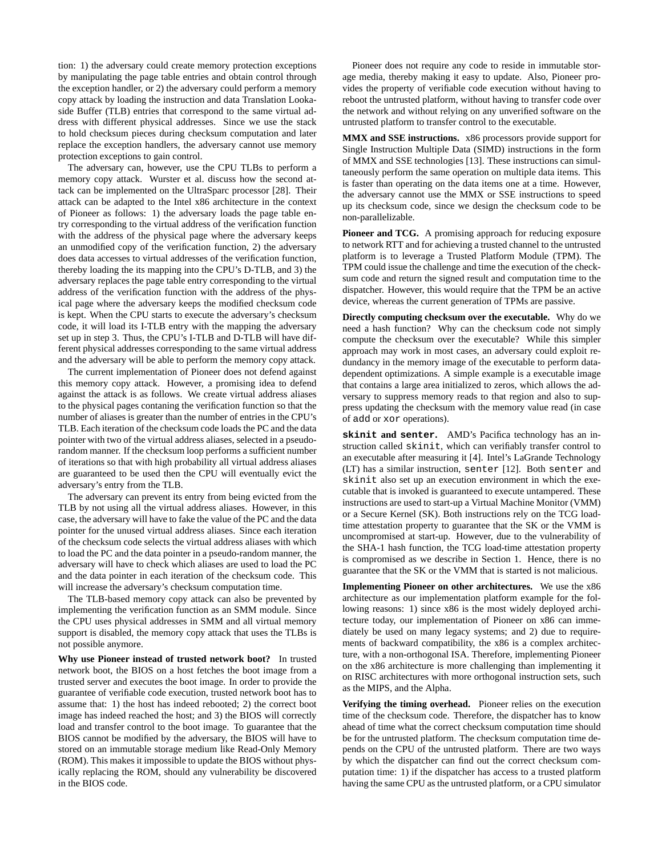tion: 1) the adversary could create memory protection exceptions by manipulating the page table entries and obtain control through the exception handler, or 2) the adversary could perform a memory copy attack by loading the instruction and data Translation Lookaside Buffer (TLB) entries that correspond to the same virtual address with different physical addresses. Since we use the stack to hold checksum pieces during checksum computation and later replace the exception handlers, the adversary cannot use memory protection exceptions to gain control.

The adversary can, however, use the CPU TLBs to perform a memory copy attack. Wurster et al. discuss how the second attack can be implemented on the UltraSparc processor [28]. Their attack can be adapted to the Intel x86 architecture in the context of Pioneer as follows: 1) the adversary loads the page table entry corresponding to the virtual address of the verification function with the address of the physical page where the adversary keeps an unmodified copy of the verification function, 2) the adversary does data accesses to virtual addresses of the verification function, thereby loading the its mapping into the CPU's D-TLB, and 3) the adversary replaces the page table entry corresponding to the virtual address of the verification function with the address of the physical page where the adversary keeps the modified checksum code is kept. When the CPU starts to execute the adversary's checksum code, it will load its I-TLB entry with the mapping the adversary set up in step 3. Thus, the CPU's I-TLB and D-TLB will have different physical addresses corresponding to the same virtual address and the adversary will be able to perform the memory copy attack.

The current implementation of Pioneer does not defend against this memory copy attack. However, a promising idea to defend against the attack is as follows. We create virtual address aliases to the physical pages contaning the verification function so that the number of aliases is greater than the number of entries in the CPU's TLB. Each iteration of the checksum code loads the PC and the data pointer with two of the virtual address aliases, selected in a pseudorandom manner. If the checksum loop performs a sufficient number of iterations so that with high probability all virtual address aliases are guaranteed to be used then the CPU will eventually evict the adversary's entry from the TLB.

The adversary can prevent its entry from being evicted from the TLB by not using all the virtual address aliases. However, in this case, the adversary will have to fake the value of the PC and the data pointer for the unused virtual address aliases. Since each iteration of the checksum code selects the virtual address aliases with which to load the PC and the data pointer in a pseudo-random manner, the adversary will have to check which aliases are used to load the PC and the data pointer in each iteration of the checksum code. This will increase the adversary's checksum computation time.

The TLB-based memory copy attack can also be prevented by implementing the verification function as an SMM module. Since the CPU uses physical addresses in SMM and all virtual memory support is disabled, the memory copy attack that uses the TLBs is not possible anymore.

**Why use Pioneer instead of trusted network boot?** In trusted network boot, the BIOS on a host fetches the boot image from a trusted server and executes the boot image. In order to provide the guarantee of verifiable code execution, trusted network boot has to assume that: 1) the host has indeed rebooted; 2) the correct boot image has indeed reached the host; and 3) the BIOS will correctly load and transfer control to the boot image. To guarantee that the BIOS cannot be modified by the adversary, the BIOS will have to stored on an immutable storage medium like Read-Only Memory (ROM). This makes it impossible to update the BIOS without physically replacing the ROM, should any vulnerability be discovered in the BIOS code.

Pioneer does not require any code to reside in immutable storage media, thereby making it easy to update. Also, Pioneer provides the property of verifiable code execution without having to reboot the untrusted platform, without having to transfer code over the network and without relying on any unverified software on the untrusted platform to transfer control to the executable.

**MMX and SSE instructions.** x86 processors provide support for Single Instruction Multiple Data (SIMD) instructions in the form of MMX and SSE technologies [13]. These instructions can simultaneously perform the same operation on multiple data items. This is faster than operating on the data items one at a time. However, the adversary cannot use the MMX or SSE instructions to speed up its checksum code, since we design the checksum code to be non-parallelizable.

**Pioneer and TCG.** A promising approach for reducing exposure to network RTT and for achieving a trusted channel to the untrusted platform is to leverage a Trusted Platform Module (TPM). The TPM could issue the challenge and time the execution of the checksum code and return the signed result and computation time to the dispatcher. However, this would require that the TPM be an active device, whereas the current generation of TPMs are passive.

**Directly computing checksum over the executable.** Why do we need a hash function? Why can the checksum code not simply compute the checksum over the executable? While this simpler approach may work in most cases, an adversary could exploit redundancy in the memory image of the executable to perform datadependent optimizations. A simple example is a executable image that contains a large area initialized to zeros, which allows the adversary to suppress memory reads to that region and also to suppress updating the checksum with the memory value read (in case of add or xor operations).

**skinit and senter.** AMD's Pacifica technology has an instruction called skinit, which can verifiably transfer control to an executable after measuring it [4]. Intel's LaGrande Technology (LT) has a similar instruction, senter [12]. Both senter and skinit also set up an execution environment in which the executable that is invoked is guaranteed to execute untampered. These instructions are used to start-up a Virtual Machine Monitor (VMM) or a Secure Kernel (SK). Both instructions rely on the TCG loadtime attestation property to guarantee that the SK or the VMM is uncompromised at start-up. However, due to the vulnerability of the SHA-1 hash function, the TCG load-time attestation property is compromised as we describe in Section 1. Hence, there is no guarantee that the SK or the VMM that is started is not malicious.

**Implementing Pioneer on other architectures.** We use the x86 architecture as our implementation platform example for the following reasons: 1) since x86 is the most widely deployed architecture today, our implementation of Pioneer on x86 can immediately be used on many legacy systems; and 2) due to requirements of backward compatibility, the x86 is a complex architecture, with a non-orthogonal ISA. Therefore, implementing Pioneer on the x86 architecture is more challenging than implementing it on RISC architectures with more orthogonal instruction sets, such as the MIPS, and the Alpha.

**Verifying the timing overhead.** Pioneer relies on the execution time of the checksum code. Therefore, the dispatcher has to know ahead of time what the correct checksum computation time should be for the untrusted platform. The checksum computation time depends on the CPU of the untrusted platform. There are two ways by which the dispatcher can find out the correct checksum computation time: 1) if the dispatcher has access to a trusted platform having the same CPU as the untrusted platform, or a CPU simulator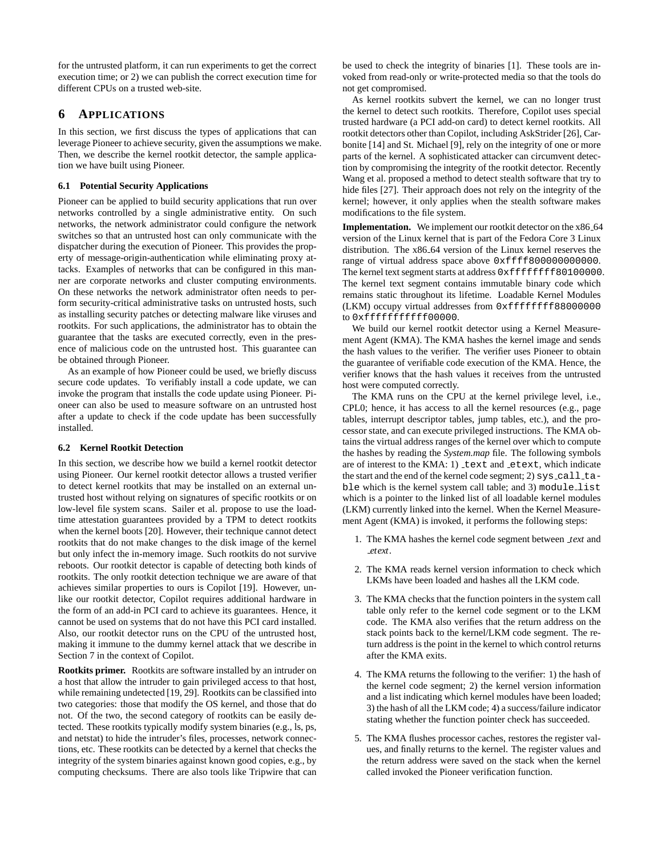for the untrusted platform, it can run experiments to get the correct execution time; or 2) we can publish the correct execution time for different CPUs on a trusted web-site.

# **6 APPLICATIONS**

In this section, we first discuss the types of applications that can leverage Pioneer to achieve security, given the assumptions we make. Then, we describe the kernel rootkit detector, the sample application we have built using Pioneer.

# **6.1 Potential Security Applications**

Pioneer can be applied to build security applications that run over networks controlled by a single administrative entity. On such networks, the network administrator could configure the network switches so that an untrusted host can only communicate with the dispatcher during the execution of Pioneer. This provides the property of message-origin-authentication while eliminating proxy attacks. Examples of networks that can be configured in this manner are corporate networks and cluster computing environments. On these networks the network administrator often needs to perform security-critical administrative tasks on untrusted hosts, such as installing security patches or detecting malware like viruses and rootkits. For such applications, the administrator has to obtain the guarantee that the tasks are executed correctly, even in the presence of malicious code on the untrusted host. This guarantee can be obtained through Pioneer.

As an example of how Pioneer could be used, we briefly discuss secure code updates. To verifiably install a code update, we can invoke the program that installs the code update using Pioneer. Pioneer can also be used to measure software on an untrusted host after a update to check if the code update has been successfully installed.

### **6.2 Kernel Rootkit Detection**

In this section, we describe how we build a kernel rootkit detector using Pioneer. Our kernel rootkit detector allows a trusted verifier to detect kernel rootkits that may be installed on an external untrusted host without relying on signatures of specific rootkits or on low-level file system scans. Sailer et al. propose to use the loadtime attestation guarantees provided by a TPM to detect rootkits when the kernel boots [20]. However, their technique cannot detect rootkits that do not make changes to the disk image of the kernel but only infect the in-memory image. Such rootkits do not survive reboots. Our rootkit detector is capable of detecting both kinds of rootkits. The only rootkit detection technique we are aware of that achieves similar properties to ours is Copilot [19]. However, unlike our rootkit detector, Copilot requires additional hardware in the form of an add-in PCI card to achieve its guarantees. Hence, it cannot be used on systems that do not have this PCI card installed. Also, our rootkit detector runs on the CPU of the untrusted host, making it immune to the dummy kernel attack that we describe in Section 7 in the context of Copilot.

**Rootkits primer.** Rootkits are software installed by an intruder on a host that allow the intruder to gain privileged access to that host, while remaining undetected [19, 29]. Rootkits can be classified into two categories: those that modify the OS kernel, and those that do not. Of the two, the second category of rootkits can be easily detected. These rootkits typically modify system binaries (e.g., ls, ps, and netstat) to hide the intruder's files, processes, network connections, etc. These rootkits can be detected by a kernel that checks the integrity of the system binaries against known good copies, e.g., by computing checksums. There are also tools like Tripwire that can be used to check the integrity of binaries [1]. These tools are invoked from read-only or write-protected media so that the tools do not get compromised.

As kernel rootkits subvert the kernel, we can no longer trust the kernel to detect such rootkits. Therefore, Copilot uses special trusted hardware (a PCI add-on card) to detect kernel rootkits. All rootkit detectors other than Copilot, including AskStrider [26], Carbonite [14] and St. Michael [9], rely on the integrity of one or more parts of the kernel. A sophisticated attacker can circumvent detection by compromising the integrity of the rootkit detector. Recently Wang et al. proposed a method to detect stealth software that try to hide files [27]. Their approach does not rely on the integrity of the kernel; however, it only applies when the stealth software makes modifications to the file system.

**Implementation.** We implement our rootkit detector on the x86\_64 version of the Linux kernel that is part of the Fedora Core 3 Linux distribution. The x86 64 version of the Linux kernel reserves the range of virtual address space above 0xffff800000000000. The kernel text segment starts at address  $0xffffffff80100000$ . The kernel text segment contains immutable binary code which remains static throughout its lifetime. Loadable Kernel Modules (LKM) occupy virtual addresses from 0xffffffff88000000 to 0xfffffffffff00000.

We build our kernel rootkit detector using a Kernel Measurement Agent (KMA). The KMA hashes the kernel image and sends the hash values to the verifier. The verifier uses Pioneer to obtain the guarantee of verifiable code execution of the KMA. Hence, the verifier knows that the hash values it receives from the untrusted host were computed correctly.

The KMA runs on the CPU at the kernel privilege level, i.e., CPL0; hence, it has access to all the kernel resources (e.g., page tables, interrupt descriptor tables, jump tables, etc.), and the processor state, and can execute privileged instructions. The KMA obtains the virtual address ranges of the kernel over which to compute the hashes by reading the *System.map* file. The following symbols are of interest to the KMA: 1) text and etext, which indicate the start and the end of the kernel code segment; 2) sys\_call\_table which is the kernel system call table; and 3) module list which is a pointer to the linked list of all loadable kernel modules (LKM) currently linked into the kernel. When the Kernel Measurement Agent (KMA) is invoked, it performs the following steps:

- 1. The KMA hashes the kernel code segment between *text* and *etext*.
- 2. The KMA reads kernel version information to check which LKMs have been loaded and hashes all the LKM code.
- 3. The KMA checks that the function pointers in the system call table only refer to the kernel code segment or to the LKM code. The KMA also verifies that the return address on the stack points back to the kernel/LKM code segment. The return address is the point in the kernel to which control returns after the KMA exits.
- 4. The KMA returns the following to the verifier: 1) the hash of the kernel code segment; 2) the kernel version information and a list indicating which kernel modules have been loaded; 3) the hash of all the LKM code; 4) a success/failure indicator stating whether the function pointer check has succeeded.
- 5. The KMA flushes processor caches, restores the register values, and finally returns to the kernel. The register values and the return address were saved on the stack when the kernel called invoked the Pioneer verification function.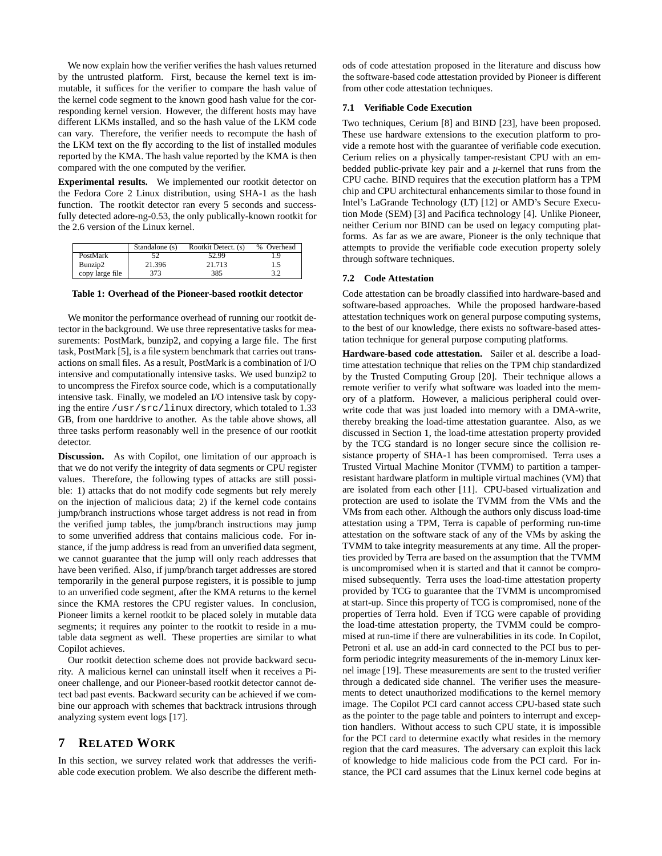We now explain how the verifier verifies the hash values returned by the untrusted platform. First, because the kernel text is immutable, it suffices for the verifier to compare the hash value of the kernel code segment to the known good hash value for the corresponding kernel version. However, the different hosts may have different LKMs installed, and so the hash value of the LKM code can vary. Therefore, the verifier needs to recompute the hash of the LKM text on the fly according to the list of installed modules reported by the KMA. The hash value reported by the KMA is then compared with the one computed by the verifier.

**Experimental results.** We implemented our rootkit detector on the Fedora Core 2 Linux distribution, using SHA-1 as the hash function. The rootkit detector ran every 5 seconds and successfully detected adore-ng-0.53, the only publically-known rootkit for the 2.6 version of the Linux kernel.

|                 | Standalone (s) | Rootkit Detect. (s) | % Overhead |
|-----------------|----------------|---------------------|------------|
| PostMark        |                | 52.99               | 1.9        |
| Bunzip2         | 21.396         | 21.713              | 1.5        |
| copy large file | 373            | 385                 | 39         |

#### **Table 1: Overhead of the Pioneer-based rootkit detector**

We monitor the performance overhead of running our rootkit detector in the background. We use three representative tasks for measurements: PostMark, bunzip2, and copying a large file. The first task, PostMark [5], is a file system benchmark that carries out transactions on small files. As a result, PostMark is a combination of I/O intensive and computationally intensive tasks. We used bunzip2 to to uncompress the Firefox source code, which is a computationally intensive task. Finally, we modeled an I/O intensive task by copying the entire /usr/src/linux directory, which totaled to 1.33 GB, from one harddrive to another. As the table above shows, all three tasks perform reasonably well in the presence of our rootkit detector.

**Discussion.** As with Copilot, one limitation of our approach is that we do not verify the integrity of data segments or CPU register values. Therefore, the following types of attacks are still possible: 1) attacks that do not modify code segments but rely merely on the injection of malicious data; 2) if the kernel code contains jump/branch instructions whose target address is not read in from the verified jump tables, the jump/branch instructions may jump to some unverified address that contains malicious code. For instance, if the jump address is read from an unverified data segment, we cannot guarantee that the jump will only reach addresses that have been verified. Also, if jump/branch target addresses are stored temporarily in the general purpose registers, it is possible to jump to an unverified code segment, after the KMA returns to the kernel since the KMA restores the CPU register values. In conclusion, Pioneer limits a kernel rootkit to be placed solely in mutable data segments; it requires any pointer to the rootkit to reside in a mutable data segment as well. These properties are similar to what Copilot achieves.

Our rootkit detection scheme does not provide backward security. A malicious kernel can uninstall itself when it receives a Pioneer challenge, and our Pioneer-based rootkit detector cannot detect bad past events. Backward security can be achieved if we combine our approach with schemes that backtrack intrusions through analyzing system event logs [17].

# **7 RELATED WORK**

In this section, we survey related work that addresses the verifiable code execution problem. We also describe the different methods of code attestation proposed in the literature and discuss how the software-based code attestation provided by Pioneer is different from other code attestation techniques.

#### **7.1 Verifiable Code Execution**

Two techniques, Cerium [8] and BIND [23], have been proposed. These use hardware extensions to the execution platform to provide a remote host with the guarantee of verifiable code execution. Cerium relies on a physically tamper-resistant CPU with an embedded public-private key pair and a *µ*-kernel that runs from the CPU cache. BIND requires that the execution platform has a TPM chip and CPU architectural enhancements similar to those found in Intel's LaGrande Technology (LT) [12] or AMD's Secure Execution Mode (SEM) [3] and Pacifica technology [4]. Unlike Pioneer, neither Cerium nor BIND can be used on legacy computing platforms. As far as we are aware, Pioneer is the only technique that attempts to provide the verifiable code execution property solely through software techniques.

#### **7.2 Code Attestation**

Code attestation can be broadly classified into hardware-based and software-based approaches. While the proposed hardware-based attestation techniques work on general purpose computing systems, to the best of our knowledge, there exists no software-based attestation technique for general purpose computing platforms.

**Hardware-based code attestation.** Sailer et al. describe a loadtime attestation technique that relies on the TPM chip standardized by the Trusted Computing Group [20]. Their technique allows a remote verifier to verify what software was loaded into the memory of a platform. However, a malicious peripheral could overwrite code that was just loaded into memory with a DMA-write, thereby breaking the load-time attestation guarantee. Also, as we discussed in Section 1, the load-time attestation property provided by the TCG standard is no longer secure since the collision resistance property of SHA-1 has been compromised. Terra uses a Trusted Virtual Machine Monitor (TVMM) to partition a tamperresistant hardware platform in multiple virtual machines (VM) that are isolated from each other [11]. CPU-based virtualization and protection are used to isolate the TVMM from the VMs and the VMs from each other. Although the authors only discuss load-time attestation using a TPM, Terra is capable of performing run-time attestation on the software stack of any of the VMs by asking the TVMM to take integrity measurements at any time. All the properties provided by Terra are based on the assumption that the TVMM is uncompromised when it is started and that it cannot be compromised subsequently. Terra uses the load-time attestation property provided by TCG to guarantee that the TVMM is uncompromised at start-up. Since this property of TCG is compromised, none of the properties of Terra hold. Even if TCG were capable of providing the load-time attestation property, the TVMM could be compromised at run-time if there are vulnerabilities in its code. In Copilot, Petroni et al. use an add-in card connected to the PCI bus to perform periodic integrity measurements of the in-memory Linux kernel image [19]. These measurements are sent to the trusted verifier through a dedicated side channel. The verifier uses the measurements to detect unauthorized modifications to the kernel memory image. The Copilot PCI card cannot access CPU-based state such as the pointer to the page table and pointers to interrupt and exception handlers. Without access to such CPU state, it is impossible for the PCI card to determine exactly what resides in the memory region that the card measures. The adversary can exploit this lack of knowledge to hide malicious code from the PCI card. For instance, the PCI card assumes that the Linux kernel code begins at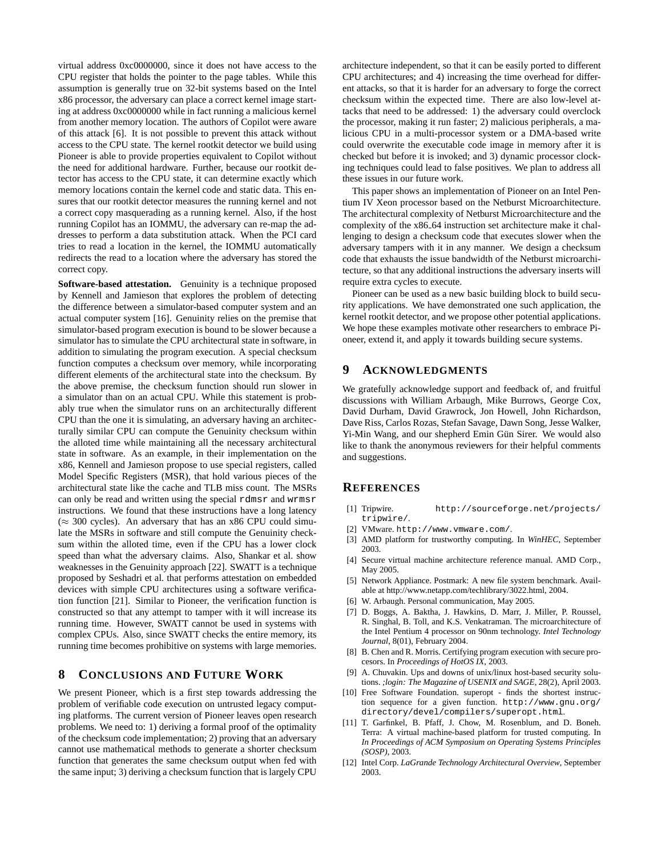virtual address 0xc0000000, since it does not have access to the CPU register that holds the pointer to the page tables. While this assumption is generally true on 32-bit systems based on the Intel x86 processor, the adversary can place a correct kernel image starting at address 0xc0000000 while in fact running a malicious kernel from another memory location. The authors of Copilot were aware of this attack [6]. It is not possible to prevent this attack without access to the CPU state. The kernel rootkit detector we build using Pioneer is able to provide properties equivalent to Copilot without the need for additional hardware. Further, because our rootkit detector has access to the CPU state, it can determine exactly which memory locations contain the kernel code and static data. This ensures that our rootkit detector measures the running kernel and not a correct copy masquerading as a running kernel. Also, if the host running Copilot has an IOMMU, the adversary can re-map the addresses to perform a data substitution attack. When the PCI card tries to read a location in the kernel, the IOMMU automatically redirects the read to a location where the adversary has stored the correct copy.

**Software-based attestation.** Genuinity is a technique proposed by Kennell and Jamieson that explores the problem of detecting the difference between a simulator-based computer system and an actual computer system [16]. Genuinity relies on the premise that simulator-based program execution is bound to be slower because a simulator has to simulate the CPU architectural state in software, in addition to simulating the program execution. A special checksum function computes a checksum over memory, while incorporating different elements of the architectural state into the checksum. By the above premise, the checksum function should run slower in a simulator than on an actual CPU. While this statement is probably true when the simulator runs on an architecturally different CPU than the one it is simulating, an adversary having an architecturally similar CPU can compute the Genuinity checksum within the alloted time while maintaining all the necessary architectural state in software. As an example, in their implementation on the x86, Kennell and Jamieson propose to use special registers, called Model Specific Registers (MSR), that hold various pieces of the architectural state like the cache and TLB miss count. The MSRs can only be read and written using the special rdmsr and wrmsr instructions. We found that these instructions have a long latency  $(\approx 300 \text{ cycles})$ . An adversary that has an x86 CPU could simulate the MSRs in software and still compute the Genuinity checksum within the alloted time, even if the CPU has a lower clock speed than what the adversary claims. Also, Shankar et al. show weaknesses in the Genuinity approach [22]. SWATT is a technique proposed by Seshadri et al. that performs attestation on embedded devices with simple CPU architectures using a software verification function [21]. Similar to Pioneer, the verification function is constructed so that any attempt to tamper with it will increase its running time. However, SWATT cannot be used in systems with complex CPUs. Also, since SWATT checks the entire memory, its running time becomes prohibitive on systems with large memories.

# **8 CONCLUSIONS AND FUTURE WORK**

We present Pioneer, which is a first step towards addressing the problem of verifiable code execution on untrusted legacy computing platforms. The current version of Pioneer leaves open research problems. We need to: 1) deriving a formal proof of the optimality of the checksum code implementation; 2) proving that an adversary cannot use mathematical methods to generate a shorter checksum function that generates the same checksum output when fed with the same input; 3) deriving a checksum function that is largely CPU architecture independent, so that it can be easily ported to different CPU architectures; and 4) increasing the time overhead for different attacks, so that it is harder for an adversary to forge the correct checksum within the expected time. There are also low-level attacks that need to be addressed: 1) the adversary could overclock the processor, making it run faster; 2) malicious peripherals, a malicious CPU in a multi-processor system or a DMA-based write could overwrite the executable code image in memory after it is checked but before it is invoked; and 3) dynamic processor clocking techniques could lead to false positives. We plan to address all these issues in our future work.

This paper shows an implementation of Pioneer on an Intel Pentium IV Xeon processor based on the Netburst Microarchitecture. The architectural complexity of Netburst Microarchitecture and the complexity of the x86 64 instruction set architecture make it challenging to design a checksum code that executes slower when the adversary tampers with it in any manner. We design a checksum code that exhausts the issue bandwidth of the Netburst microarchitecture, so that any additional instructions the adversary inserts will require extra cycles to execute.

Pioneer can be used as a new basic building block to build security applications. We have demonstrated one such application, the kernel rootkit detector, and we propose other potential applications. We hope these examples motivate other researchers to embrace Pioneer, extend it, and apply it towards building secure systems.

# **9 ACKNOWLEDGMENTS**

We gratefully acknowledge support and feedback of, and fruitful discussions with William Arbaugh, Mike Burrows, George Cox, David Durham, David Grawrock, Jon Howell, John Richardson, Dave Riss, Carlos Rozas, Stefan Savage, Dawn Song, Jesse Walker, Yi-Min Wang, and our shepherd Emin Gün Sirer. We would also like to thank the anonymous reviewers for their helpful comments and suggestions.

# **REFERENCES**

- [1] Tripwire. http://sourceforge.net/projects/ tripwire/.
- [2] VMware. http://www.vmware.com/.
- [3] AMD platform for trustworthy computing. In *WinHEC*, September 2003.
- [4] Secure virtual machine architecture reference manual. AMD Corp., May 2005.
- [5] Network Appliance. Postmark: A new file system benchmark. Available at http://www.netapp.com/techlibrary/3022.html, 2004.
- [6] W. Arbaugh. Personal communication, May 2005.
- [7] D. Boggs, A. Baktha, J. Hawkins, D. Marr, J. Miller, P. Roussel, R. Singhal, B. Toll, and K.S. Venkatraman. The microarchitecture of the Intel Pentium 4 processor on 90nm technology. *Intel Technology Journal*, 8(01), February 2004.
- [8] B. Chen and R. Morris. Certifying program execution with secure procesors. In *Proceedings of HotOS IX*, 2003.
- A. Chuvakin. Ups and downs of unix/linux host-based security solutions. *;login: The Magazine of USENIX and SAGE*, 28(2), April 2003.
- [10] Free Software Foundation. superopt finds the shortest instruction sequence for a given function. http://www.gnu.org/ directory/devel/compilers/superopt.html.
- [11] T. Garfinkel, B. Pfaff, J. Chow, M. Rosenblum, and D. Boneh. Terra: A virtual machine-based platform for trusted computing. In *In Proceedings of ACM Symposium on Operating Systems Principles (SOSP)*, 2003.
- [12] Intel Corp. *LaGrande Technology Architectural Overview*, September 2003.